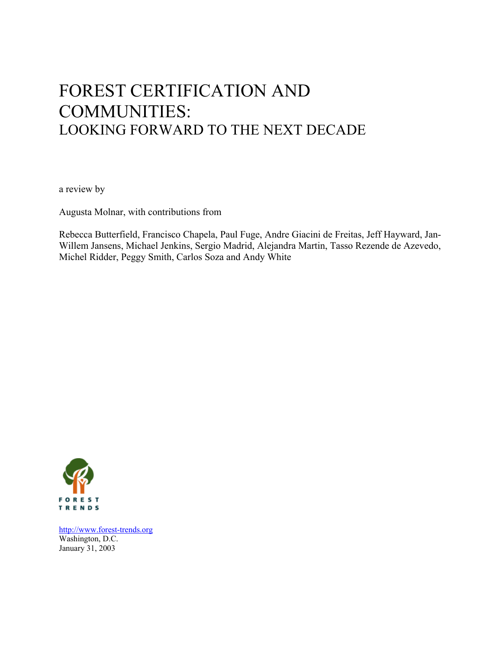# FOREST CERTIFICATION AND COMMUNITIES: LOOKING FORWARD TO THE NEXT DECADE

a review by

Augusta Molnar, with contributions from

Rebecca Butterfield, Francisco Chapela, Paul Fuge, Andre Giacini de Freitas, Jeff Hayward, Jan-Willem Jansens, Michael Jenkins, Sergio Madrid, Alejandra Martin, Tasso Rezende de Azevedo, Michel Ridder, Peggy Smith, Carlos Soza and Andy White



[http://www.forest-trends.org](http://www.forest-trends.org/) Washington, D.C. January 31, 2003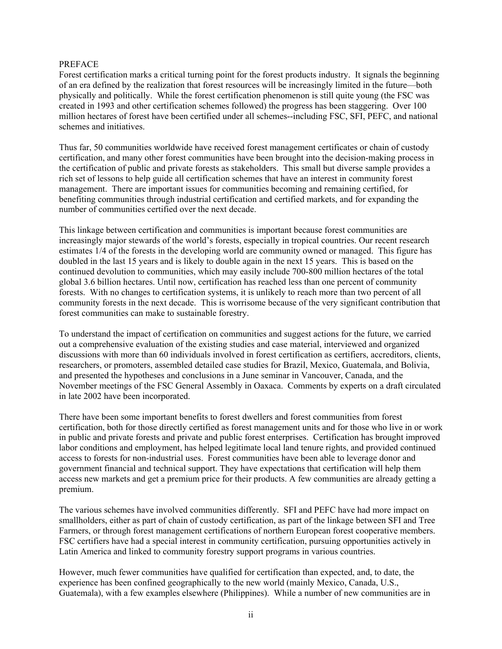#### PREFACE

Forest certification marks a critical turning point for the forest products industry. It signals the beginning of an era defined by the realization that forest resources will be increasingly limited in the future—both physically and politically. While the forest certification phenomenon is still quite young (the FSC was created in 1993 and other certification schemes followed) the progress has been staggering. Over 100 million hectares of forest have been certified under all schemes--including FSC, SFI, PEFC, and national schemes and initiatives.

Thus far, 50 communities worldwide have received forest management certificates or chain of custody certification, and many other forest communities have been brought into the decision-making process in the certification of public and private forests as stakeholders. This small but diverse sample provides a rich set of lessons to help guide all certification schemes that have an interest in community forest management. There are important issues for communities becoming and remaining certified, for benefiting communities through industrial certification and certified markets, and for expanding the number of communities certified over the next decade.

This linkage between certification and communities is important because forest communities are increasingly major stewards of the world's forests, especially in tropical countries. Our recent research estimates 1/4 of the forests in the developing world are community owned or managed. This figure has doubled in the last 15 years and is likely to double again in the next 15 years. This is based on the continued devolution to communities, which may easily include 700-800 million hectares of the total global 3.6 billion hectares. Until now, certification has reached less than one percent of community forests. With no changes to certification systems, it is unlikely to reach more than two percent of all community forests in the next decade. This is worrisome because of the very significant contribution that forest communities can make to sustainable forestry.

To understand the impact of certification on communities and suggest actions for the future, we carried out a comprehensive evaluation of the existing studies and case material, interviewed and organized discussions with more than 60 individuals involved in forest certification as certifiers, accreditors, clients, researchers, or promoters, assembled detailed case studies for Brazil, Mexico, Guatemala, and Bolivia, and presented the hypotheses and conclusions in a June seminar in Vancouver, Canada, and the November meetings of the FSC General Assembly in Oaxaca. Comments by experts on a draft circulated in late 2002 have been incorporated.

There have been some important benefits to forest dwellers and forest communities from forest certification, both for those directly certified as forest management units and for those who live in or work in public and private forests and private and public forest enterprises. Certification has brought improved labor conditions and employment, has helped legitimate local land tenure rights, and provided continued access to forests for non-industrial uses. Forest communities have been able to leverage donor and government financial and technical support. They have expectations that certification will help them access new markets and get a premium price for their products. A few communities are already getting a premium.

The various schemes have involved communities differently. SFI and PEFC have had more impact on smallholders, either as part of chain of custody certification, as part of the linkage between SFI and Tree Farmers, or through forest management certifications of northern European forest cooperative members. FSC certifiers have had a special interest in community certification, pursuing opportunities actively in Latin America and linked to community forestry support programs in various countries.

However, much fewer communities have qualified for certification than expected, and, to date, the experience has been confined geographically to the new world (mainly Mexico, Canada, U.S., Guatemala), with a few examples elsewhere (Philippines). While a number of new communities are in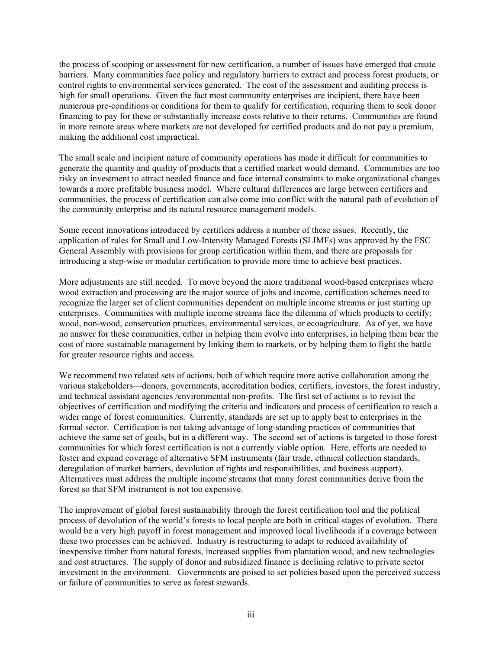the process of scooping or assessment for new certification, a number of issues have emerged that create barriers. Many communities face policy and regulatory barriers to extract and process forest products, or control rights to environmental services generated. The cost of the assessment and auditing process is high for small operations. Given the fact most community enterprises are incipient, there have been numerous pre-conditions or conditions for them to qualify for certification, requiring them to seek donor financing to pay for these or substantially increase costs relative to their returns. Communities are found in more remote areas where markets are not developed for certified products and do not pay a premium, making the additional cost impractical.

The small scale and incipient nature of community operations has made it difficult for communities to generate the quantity and quality of products that a certified market would demand. Communities are too risky an investment to attract needed finance and face internal constraints to make organizational changes towards a more profitable business model. Where cultural differences are large between certifiers and communities, the process of certification can also come into conflict with the natural path of evolution of the community enterprise and its natural resource management models.

Some recent innovations introduced by certifiers address a number of these issues. Recently, the application of rules for Small and Low-Intensity Managed Forests (SLIMFs) was approved by the FSC General Assembly with provisions for group certification within them, and there are proposals for introducing a step-wise or modular certification to provide more time to achieve best practices.

More adjustments are still needed. To move beyond the more traditional wood-based enterprises where wood extraction and processing are the major source of jobs and income, certification schemes need to recognize the larger set of client communities dependent on multiple income streams or just starting up enterprises. Communities with multiple income streams face the dilemma of which products to certify: wood, non-wood, conservation practices, environmental services, or ecoagriculture. As of yet, we have no answer for these communities, either in helping them evolve into enterprises, in helping them bear the cost of more sustainable management by linking them to markets, or by helping them to fight the battle for greater resource rights and access.

We recommend two related sets of actions, both of which require more active collaboration among the various stakeholders—donors, governments, accreditation bodies, certifiers, investors, the forest industry, and technical assistant agencies /environmental non-profits. The first set of actions is to revisit the objectives of certification and modifying the criteria and indicators and process of certification to reach a wider range of forest communities. Currently, standards are set up to apply best to enterprises in the formal sector. Certification is not taking advantage of long-standing practices of communities that achieve the same set of goals, but in a different way. The second set of actions is targeted to those forest communities for which forest certification is not a currently viable option. Here, efforts are needed to foster and expand coverage of alternative SFM instruments (fair trade, ethnical collection standards, deregulation of market barriers, devolution of rights and responsibilities, and business support). Alternatives must address the multiple income streams that many forest communities derive from the forest so that SFM instrument is not too expensive.

The improvement of global forest sustainability through the forest certification tool and the political process of devolution of the world's forests to local people are both in critical stages of evolution. There would be a very high payoff in forest management and improved local livelihoods if a coverage between these two processes can be achieved. Industry is restructuring to adapt to reduced availability of inexpensive timber from natural forests, increased supplies from plantation wood, and new technologies and cost structures. The supply of donor and subsidized finance is declining relative to private sector investment in the environment. Governments are poised to set policies based upon the perceived success or failure of communities to serve as forest stewards.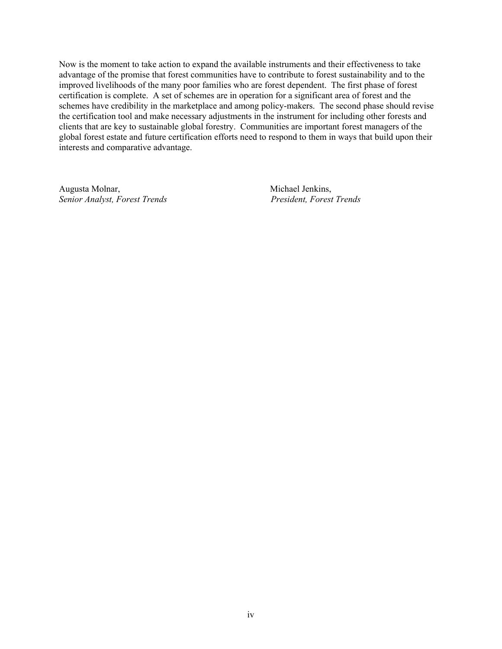Now is the moment to take action to expand the available instruments and their effectiveness to take advantage of the promise that forest communities have to contribute to forest sustainability and to the improved livelihoods of the many poor families who are forest dependent. The first phase of forest certification is complete. A set of schemes are in operation for a significant area of forest and the schemes have credibility in the marketplace and among policy-makers. The second phase should revise the certification tool and make necessary adjustments in the instrument for including other forests and clients that are key to sustainable global forestry. Communities are important forest managers of the global forest estate and future certification efforts need to respond to them in ways that build upon their interests and comparative advantage.

Augusta Molnar, Michael Jenkins, *Senior Analyst, Forest Trends President, Forest Trends*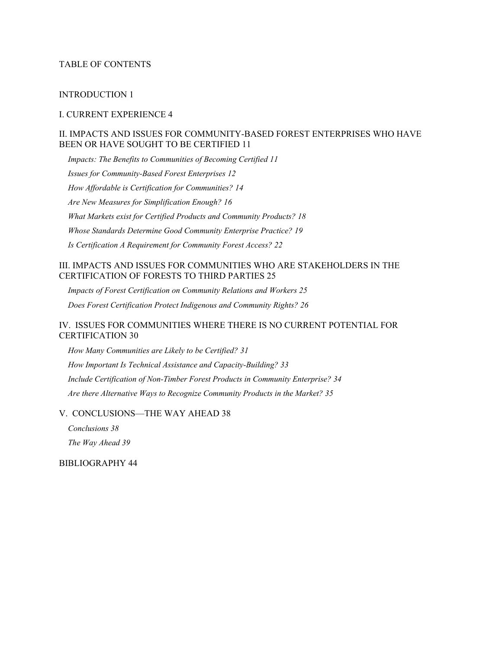#### TABLE OF CONTENTS

#### [INTRODUCTION 1](#page-7-0)

#### [I. CURRENT EXPERIENCE 4](#page-10-0)

#### [II. IMPACTS AND ISSUES FOR COMMUNITY-BASED FOREST ENTERPRISES WHO HAVE](#page-17-0)  [BEEN OR HAVE SOUGHT TO BE CERTIFIED 11](#page-17-0)

*Impacts: [The Benefits to Communities of Becoming Certified](#page-17-0) 11 [Issues for Community-Based](#page-18-0) Forest Enterprises 12 [How Affordable is Certification for Communities?](#page-20-0) 14 [Are New Measures for Simplification Enough? 16](#page-22-0) [What Markets exist for Certified Products and Community Products?](#page-24-0) 18 Whose Standards Determine Good [Community Enterprise Practice? 19](#page-25-0) [Is Certification A Requirement for Community Forest Access? 22](#page-28-0)* 

#### [III. IMPACTS AND ISSUES FOR COMMUNITIES WHO ARE STAKEHOLDERS IN THE](#page-31-0)  [CERTIFICATION OF FORESTS TO THIRD PARTIES 25](#page-31-0)

*Impacts of Forest Certification [on Community Relations and Workers 25](#page-31-0) [Does Forest Certification Protect Indigenous and Community Rights?](#page-32-0) 26* 

# [IV. ISSUES FOR COMMUNITIES WHERE THERE IS NO CURRENT POTENTIAL FOR](#page-36-0)  [CERTIFICATION 30](#page-36-0)

*[How Many Communities are Likely to be Certified? 31](#page-37-0) How Important Is Technical Assistance [and Capacity-Building? 33](#page-39-0)  [Include Certification of Non-Timber Forest Products in Community Enterprise? 34](#page-40-0) Are there Alternative Ways to [Recognize Community Products in the Market? 35](#page-41-0)*

[V. CONCLUSIONS—THE WAY AHEAD 38](#page-44-0) 

*[Conclusions 38](#page-44-0)  The Way [Ahead 39](#page-45-0)* 

[BIBLIOGRAPHY 44](#page-50-0)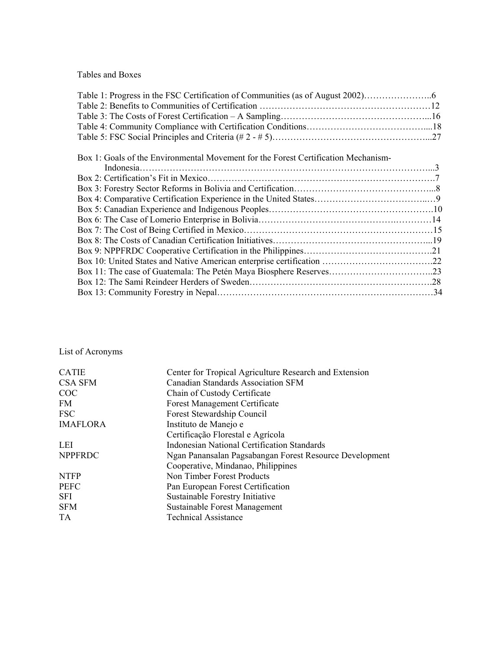Tables and Boxes

| Box 1: Goals of the Environmental Movement for the Forest Certification Mechanism- |  |
|------------------------------------------------------------------------------------|--|
|                                                                                    |  |
|                                                                                    |  |
|                                                                                    |  |
|                                                                                    |  |
|                                                                                    |  |
|                                                                                    |  |
|                                                                                    |  |
|                                                                                    |  |
|                                                                                    |  |
|                                                                                    |  |
|                                                                                    |  |
|                                                                                    |  |
|                                                                                    |  |

List of Acronyms

| <b>CATIE</b>    | Center for Tropical Agriculture Research and Extension  |
|-----------------|---------------------------------------------------------|
| <b>CSA SFM</b>  | <b>Canadian Standards Association SFM</b>               |
| COC             | Chain of Custody Certificate                            |
| FM              | <b>Forest Management Certificate</b>                    |
| <b>FSC</b>      | Forest Stewardship Council                              |
| <b>IMAFLORA</b> | Instituto de Manejo e                                   |
|                 | Certificação Florestal e Agrícola                       |
| LEI             | Indonesian National Certification Standards             |
| <b>NPPFRDC</b>  | Ngan Panansalan Pagsabangan Forest Resource Development |
|                 | Cooperative, Mindanao, Philippines                      |
| <b>NTFP</b>     | Non Timber Forest Products                              |
| <b>PEFC</b>     | Pan European Forest Certification                       |
| <b>SFI</b>      | Sustainable Forestry Initiative                         |
| <b>SFM</b>      | Sustainable Forest Management                           |
| TA              | <b>Technical Assistance</b>                             |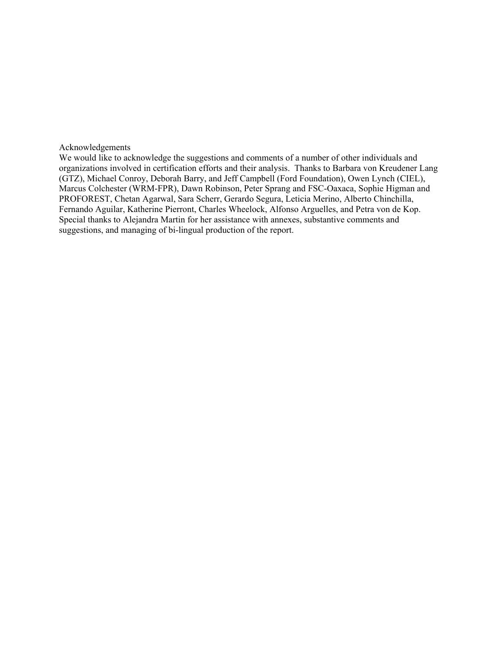#### Acknowledgements

We would like to acknowledge the suggestions and comments of a number of other individuals and organizations involved in certification efforts and their analysis. Thanks to Barbara von Kreudener Lang (GTZ), Michael Conroy, Deborah Barry, and Jeff Campbell (Ford Foundation), Owen Lynch (CIEL), Marcus Colchester (WRM-FPR), Dawn Robinson, Peter Sprang and FSC-Oaxaca, Sophie Higman and PROFOREST, Chetan Agarwal, Sara Scherr, Gerardo Segura, Leticia Merino, Alberto Chinchilla, Fernando Aguilar, Katherine Pierront, Charles Wheelock, Alfonso Arguelles, and Petra von de Kop. Special thanks to Alejandra Martin for her assistance with annexes, substantive comments and suggestions, and managing of bi-lingual production of the report.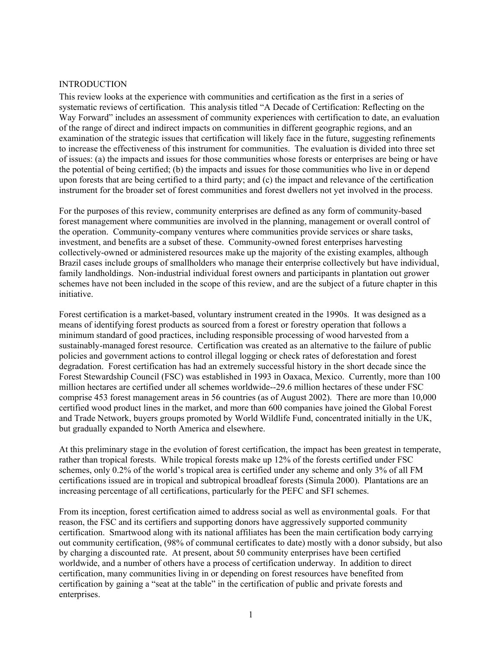#### <span id="page-7-0"></span>INTRODUCTION

This review looks at the experience with communities and certification as the first in a series of systematic reviews of certification. This analysis titled "A Decade of Certification: Reflecting on the Way Forward" includes an assessment of community experiences with certification to date, an evaluation of the range of direct and indirect impacts on communities in different geographic regions, and an examination of the strategic issues that certification will likely face in the future, suggesting refinements to increase the effectiveness of this instrument for communities. The evaluation is divided into three set of issues: (a) the impacts and issues for those communities whose forests or enterprises are being or have the potential of being certified; (b) the impacts and issues for those communities who live in or depend upon forests that are being certified to a third party; and (c) the impact and relevance of the certification instrument for the broader set of forest communities and forest dwellers not yet involved in the process.

For the purposes of this review, community enterprises are defined as any form of community-based forest management where communities are involved in the planning, management or overall control of the operation. Community-company ventures where communities provide services or share tasks, investment, and benefits are a subset of these. Community-owned forest enterprises harvesting collectively-owned or administered resources make up the majority of the existing examples, although Brazil cases include groups of smallholders who manage their enterprise collectively but have individual, family landholdings. Non-industrial individual forest owners and participants in plantation out grower schemes have not been included in the scope of this review, and are the subject of a future chapter in this initiative.

Forest certification is a market-based, voluntary instrument created in the 1990s. It was designed as a means of identifying forest products as sourced from a forest or forestry operation that follows a minimum standard of good practices, including responsible processing of wood harvested from a sustainably-managed forest resource. Certification was created as an alternative to the failure of public policies and government actions to control illegal logging or check rates of deforestation and forest degradation. Forest certification has had an extremely successful history in the short decade since the Forest Stewardship Council (FSC) was established in 1993 in Oaxaca, Mexico. Currently, more than 100 million hectares are certified under all schemes worldwide--29.6 million hectares of these under FSC comprise 453 forest management areas in 56 countries (as of August 2002). There are more than 10,000 certified wood product lines in the market, and more than 600 companies have joined the Global Forest and Trade Network, buyers groups promoted by World Wildlife Fund, concentrated initially in the UK, but gradually expanded to North America and elsewhere.

At this preliminary stage in the evolution of forest certification, the impact has been greatest in temperate, rather than tropical forests. While tropical forests make up 12% of the forests certified under FSC schemes, only 0.2% of the world's tropical area is certified under any scheme and only 3% of all FM certifications issued are in tropical and subtropical broadleaf forests (Simula 2000). Plantations are an increasing percentage of all certifications, particularly for the PEFC and SFI schemes.

From its inception, forest certification aimed to address social as well as environmental goals. For that reason, the FSC and its certifiers and supporting donors have aggressively supported community certification. Smartwood along with its national affiliates has been the main certification body carrying out community certification, (98% of communal certificates to date) mostly with a donor subsidy, but also by charging a discounted rate. At present, about 50 community enterprises have been certified worldwide, and a number of others have a process of certification underway. In addition to direct certification, many communities living in or depending on forest resources have benefited from certification by gaining a "seat at the table" in the certification of public and private forests and enterprises.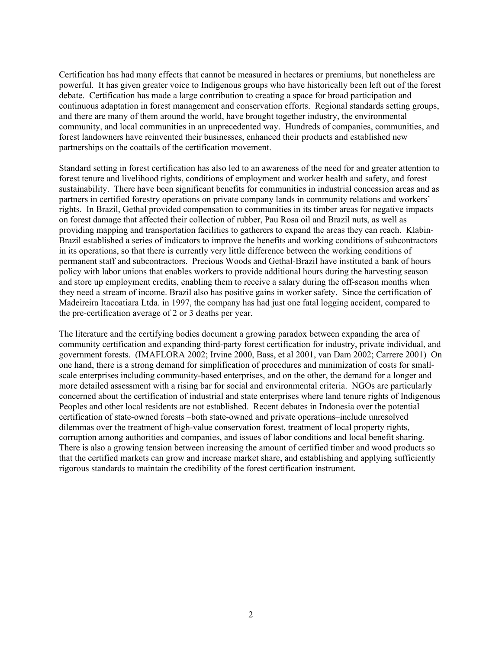Certification has had many effects that cannot be measured in hectares or premiums, but nonetheless are powerful. It has given greater voice to Indigenous groups who have historically been left out of the forest debate. Certification has made a large contribution to creating a space for broad participation and continuous adaptation in forest management and conservation efforts. Regional standards setting groups, and there are many of them around the world, have brought together industry, the environmental community, and local communities in an unprecedented way. Hundreds of companies, communities, and forest landowners have reinvented their businesses, enhanced their products and established new partnerships on the coattails of the certification movement.

Standard setting in forest certification has also led to an awareness of the need for and greater attention to forest tenure and livelihood rights, conditions of employment and worker health and safety, and forest sustainability. There have been significant benefits for communities in industrial concession areas and as partners in certified forestry operations on private company lands in community relations and workers' rights. In Brazil, Gethal provided compensation to communities in its timber areas for negative impacts on forest damage that affected their collection of rubber, Pau Rosa oil and Brazil nuts, as well as providing mapping and transportation facilities to gatherers to expand the areas they can reach. Klabin-Brazil established a series of indicators to improve the benefits and working conditions of subcontractors in its operations, so that there is currently very little difference between the working conditions of permanent staff and subcontractors. Precious Woods and Gethal-Brazil have instituted a bank of hours policy with labor unions that enables workers to provide additional hours during the harvesting season and store up employment credits, enabling them to receive a salary during the off-season months when they need a stream of income. Brazil also has positive gains in worker safety. Since the certification of Madeireira Itacoatiara Ltda. in 1997, the company has had just one fatal logging accident, compared to the pre-certification average of 2 or 3 deaths per year.

The literature and the certifying bodies document a growing paradox between expanding the area of community certification and expanding third-party forest certification for industry, private individual, and government forests. (IMAFLORA 2002; Irvine 2000, Bass, et al 2001, van Dam 2002; Carrere 2001) On one hand, there is a strong demand for simplification of procedures and minimization of costs for smallscale enterprises including community-based enterprises, and on the other, the demand for a longer and more detailed assessment with a rising bar for social and environmental criteria. NGOs are particularly concerned about the certification of industrial and state enterprises where land tenure rights of Indigenous Peoples and other local residents are not established. Recent debates in Indonesia over the potential certification of state-owned forests –both state-owned and private operations–include unresolved dilemmas over the treatment of high-value conservation forest, treatment of local property rights, corruption among authorities and companies, and issues of labor conditions and local benefit sharing. There is also a growing tension between increasing the amount of certified timber and wood products so that the certified markets can grow and increase market share, and establishing and applying sufficiently rigorous standards to maintain the credibility of the forest certification instrument.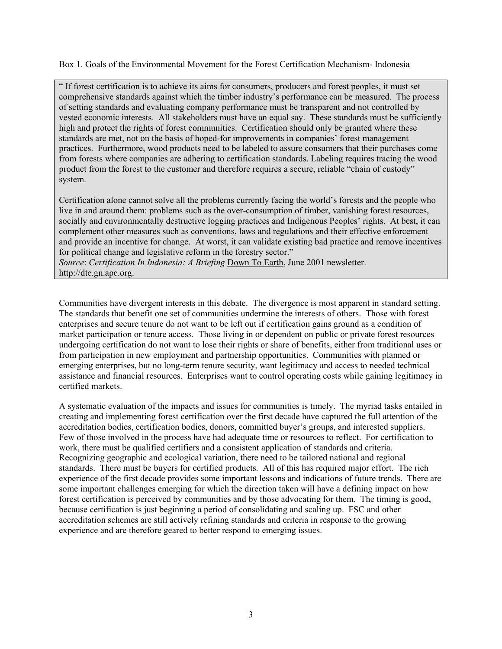Box 1. Goals of the Environmental Movement for the Forest Certification Mechanism- Indonesia

" If forest certification is to achieve its aims for consumers, producers and forest peoples, it must set comprehensive standards against which the timber industry's performance can be measured. The process of setting standards and evaluating company performance must be transparent and not controlled by vested economic interests. All stakeholders must have an equal say. These standards must be sufficiently high and protect the rights of forest communities. Certification should only be granted where these standards are met, not on the basis of hoped-for improvements in companies' forest management practices. Furthermore, wood products need to be labeled to assure consumers that their purchases come from forests where companies are adhering to certification standards. Labeling requires tracing the wood product from the forest to the customer and therefore requires a secure, reliable "chain of custody" system.

Certification alone cannot solve all the problems currently facing the world's forests and the people who live in and around them: problems such as the over-consumption of timber, vanishing forest resources, socially and environmentally destructive logging practices and Indigenous Peoples' rights. At best, it can complement other measures such as conventions, laws and regulations and their effective enforcement and provide an incentive for change. At worst, it can validate existing bad practice and remove incentives for political change and legislative reform in the forestry sector."

*Source*: *Certification In Indonesia: A Briefing* Down To Earth, June 2001 newsletter. http://dte.gn.apc.org.

Communities have divergent interests in this debate. The divergence is most apparent in standard setting. The standards that benefit one set of communities undermine the interests of others. Those with forest enterprises and secure tenure do not want to be left out if certification gains ground as a condition of market participation or tenure access. Those living in or dependent on public or private forest resources undergoing certification do not want to lose their rights or share of benefits, either from traditional uses or from participation in new employment and partnership opportunities. Communities with planned or emerging enterprises, but no long-term tenure security, want legitimacy and access to needed technical assistance and financial resources. Enterprises want to control operating costs while gaining legitimacy in certified markets.

A systematic evaluation of the impacts and issues for communities is timely. The myriad tasks entailed in creating and implementing forest certification over the first decade have captured the full attention of the accreditation bodies, certification bodies, donors, committed buyer's groups, and interested suppliers. Few of those involved in the process have had adequate time or resources to reflect. For certification to work, there must be qualified certifiers and a consistent application of standards and criteria. Recognizing geographic and ecological variation, there need to be tailored national and regional standards. There must be buyers for certified products. All of this has required major effort. The rich experience of the first decade provides some important lessons and indications of future trends. There are some important challenges emerging for which the direction taken will have a defining impact on how forest certification is perceived by communities and by those advocating for them. The timing is good, because certification is just beginning a period of consolidating and scaling up. FSC and other accreditation schemes are still actively refining standards and criteria in response to the growing experience and are therefore geared to better respond to emerging issues.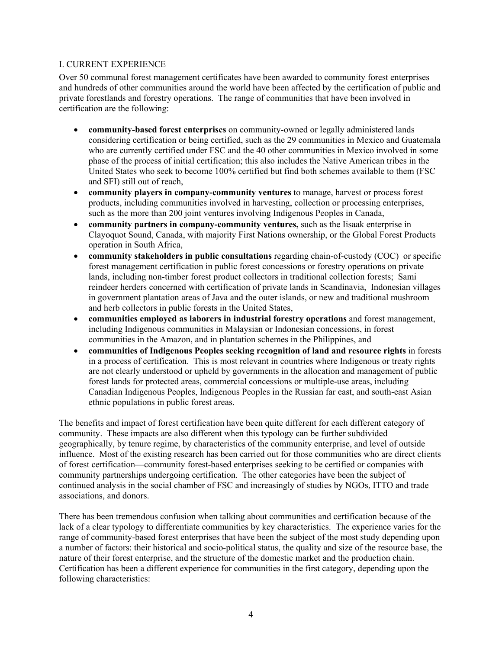### <span id="page-10-0"></span>I. CURRENT EXPERIENCE

Over 50 communal forest management certificates have been awarded to community forest enterprises and hundreds of other communities around the world have been affected by the certification of public and private forestlands and forestry operations. The range of communities that have been involved in certification are the following:

- **community-based forest enterprises** on community-owned or legally administered lands considering certification or being certified, such as the 29 communities in Mexico and Guatemala who are currently certified under FSC and the 40 other communities in Mexico involved in some phase of the process of initial certification; this also includes the Native American tribes in the United States who seek to become 100% certified but find both schemes available to them (FSC and SFI) still out of reach,
- **community players in company-community ventures** to manage, harvest or process forest products, including communities involved in harvesting, collection or processing enterprises, such as the more than 200 joint ventures involving Indigenous Peoples in Canada,
- **community partners in company-community ventures,** such as the Iisaak enterprise in Clayoquot Sound, Canada, with majority First Nations ownership, or the Global Forest Products operation in South Africa,
- **community stakeholders in public consultations** regarding chain-of-custody (COC) or specific forest management certification in public forest concessions or forestry operations on private lands, including non-timber forest product collectors in traditional collection forests; Sami reindeer herders concerned with certification of private lands in Scandinavia, Indonesian villages in government plantation areas of Java and the outer islands, or new and traditional mushroom and herb collectors in public forests in the United States,
- **communities employed as laborers in industrial forestry operations** and forest management, including Indigenous communities in Malaysian or Indonesian concessions, in forest communities in the Amazon, and in plantation schemes in the Philippines, and
- **communities of Indigenous Peoples seeking recognition of land and resource rights** in forests in a process of certification. This is most relevant in countries where Indigenous or treaty rights are not clearly understood or upheld by governments in the allocation and management of public forest lands for protected areas, commercial concessions or multiple-use areas, including Canadian Indigenous Peoples, Indigenous Peoples in the Russian far east, and south-east Asian ethnic populations in public forest areas.

The benefits and impact of forest certification have been quite different for each different category of community. These impacts are also different when this typology can be further subdivided geographically, by tenure regime, by characteristics of the community enterprise, and level of outside influence. Most of the existing research has been carried out for those communities who are direct clients of forest certification—community forest-based enterprises seeking to be certified or companies with community partnerships undergoing certification. The other categories have been the subject of continued analysis in the social chamber of FSC and increasingly of studies by NGOs, ITTO and trade associations, and donors.

There has been tremendous confusion when talking about communities and certification because of the lack of a clear typology to differentiate communities by key characteristics. The experience varies for the range of community-based forest enterprises that have been the subject of the most study depending upon a number of factors: their historical and socio-political status, the quality and size of the resource base, the nature of their forest enterprise, and the structure of the domestic market and the production chain. Certification has been a different experience for communities in the first category, depending upon the following characteristics: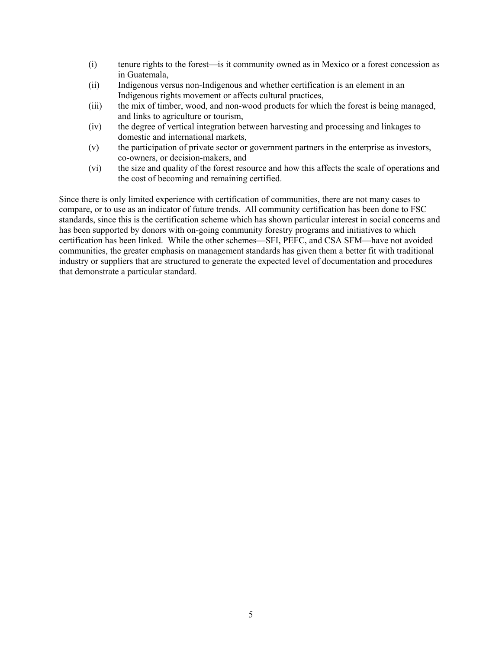- (i) tenure rights to the forest—is it community owned as in Mexico or a forest concession as in Guatemala,
- (ii) Indigenous versus non-Indigenous and whether certification is an element in an Indigenous rights movement or affects cultural practices,
- (iii) the mix of timber, wood, and non-wood products for which the forest is being managed, and links to agriculture or tourism,
- (iv) the degree of vertical integration between harvesting and processing and linkages to domestic and international markets,
- (v) the participation of private sector or government partners in the enterprise as investors, co-owners, or decision-makers, and
- (vi) the size and quality of the forest resource and how this affects the scale of operations and the cost of becoming and remaining certified.

Since there is only limited experience with certification of communities, there are not many cases to compare, or to use as an indicator of future trends. All community certification has been done to FSC standards, since this is the certification scheme which has shown particular interest in social concerns and has been supported by donors with on-going community forestry programs and initiatives to which certification has been linked. While the other schemes—SFI, PEFC, and CSA SFM—have not avoided communities, the greater emphasis on management standards has given them a better fit with traditional industry or suppliers that are structured to generate the expected level of documentation and procedures that demonstrate a particular standard.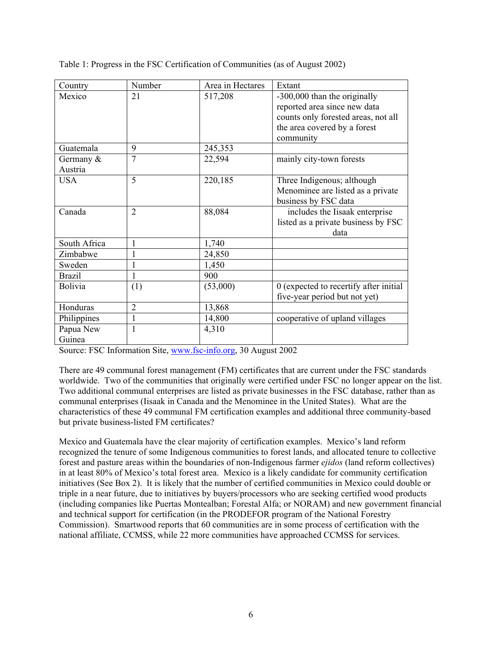Table 1: Progress in the FSC Certification of Communities (as of August 2002)

| Country                 | Number         | Area in Hectares | Extant                                                                                                                                           |
|-------------------------|----------------|------------------|--------------------------------------------------------------------------------------------------------------------------------------------------|
| Mexico                  | 21             | 517,208          | -300,000 than the originally<br>reported area since new data<br>counts only forested areas, not all<br>the area covered by a forest<br>community |
| Guatemala               | 9              | 245,353          |                                                                                                                                                  |
| Germany $\&$<br>Austria | $\overline{7}$ | 22,594           | mainly city-town forests                                                                                                                         |
| <b>USA</b>              | 5              | 220,185          | Three Indigenous; although<br>Menominee are listed as a private<br>business by FSC data                                                          |
| Canada                  | $\overline{2}$ | 88,084           | includes the Iisaak enterprise<br>listed as a private business by FSC<br>data                                                                    |
| South Africa            |                | 1,740            |                                                                                                                                                  |
| Zimbabwe                |                | 24,850           |                                                                                                                                                  |
| Sweden                  |                | 1,450            |                                                                                                                                                  |
| <b>Brazil</b>           |                | 900              |                                                                                                                                                  |
| <b>Bolivia</b>          | (1)            | (53,000)         | 0 (expected to recertify after initial<br>five-year period but not yet)                                                                          |
| Honduras                | $\overline{2}$ | 13,868           |                                                                                                                                                  |
| Philippines             |                | 14,800           | cooperative of upland villages                                                                                                                   |
| Papua New<br>Guinea     |                | 4,310            |                                                                                                                                                  |

Source: FSC Information Site, [www.fsc-info.org,](http://www.fsc-info.org/) 30 August 2002

There are 49 communal forest management (FM) certificates that are current under the FSC standards worldwide. Two of the communities that originally were certified under FSC no longer appear on the list. Two additional communal enterprises are listed as private businesses in the FSC database, rather than as communal enterprises (Iisaak in Canada and the Menominee in the United States). What are the characteristics of these 49 communal FM certification examples and additional three community-based but private business-listed FM certificates?

Mexico and Guatemala have the clear majority of certification examples. Mexico's land reform recognized the tenure of some Indigenous communities to forest lands, and allocated tenure to collective forest and pasture areas within the boundaries of non-Indigenous farmer *ejidos* (land reform collectives) in at least 80% of Mexico's total forest area. Mexico is a likely candidate for community certification initiatives (See Box 2). It is likely that the number of certified communities in Mexico could double or triple in a near future, due to initiatives by buyers/processors who are seeking certified wood products (including companies like Puertas Montealban; Forestal Alfa; or NORAM) and new government financial and technical support for certification (in the PRODEFOR program of the National Forestry Commission). Smartwood reports that 60 communities are in some process of certification with the national affiliate, CCMSS, while 22 more communities have approached CCMSS for services.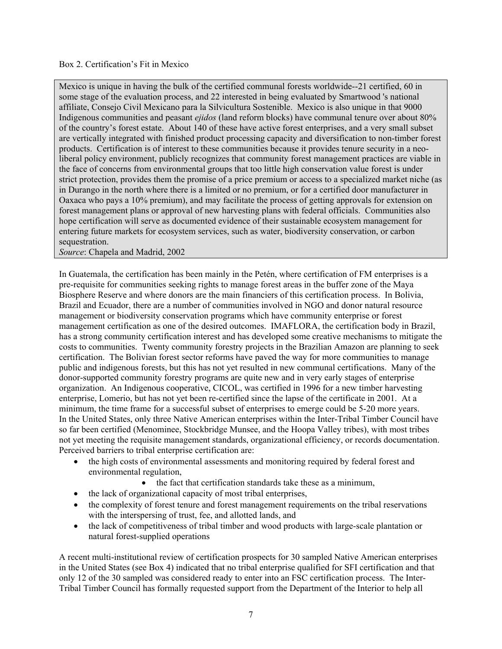#### Box 2. Certification's Fit in Mexico

Mexico is unique in having the bulk of the certified communal forests worldwide--21 certified, 60 in some stage of the evaluation process, and 22 interested in being evaluated by Smartwood 's national affiliate, Consejo Civil Mexicano para la Silvicultura Sostenible. Mexico is also unique in that 9000 Indigenous communities and peasant *ejidos* (land reform blocks) have communal tenure over about 80% of the country's forest estate. About 140 of these have active forest enterprises, and a very small subset are vertically integrated with finished product processing capacity and diversification to non-timber forest products. Certification is of interest to these communities because it provides tenure security in a neoliberal policy environment, publicly recognizes that community forest management practices are viable in the face of concerns from environmental groups that too little high conservation value forest is under strict protection, provides them the promise of a price premium or access to a specialized market niche (as in Durango in the north where there is a limited or no premium, or for a certified door manufacturer in Oaxaca who pays a 10% premium), and may facilitate the process of getting approvals for extension on forest management plans or approval of new harvesting plans with federal officials. Communities also hope certification will serve as documented evidence of their sustainable ecosystem management for entering future markets for ecosystem services, such as water, biodiversity conservation, or carbon sequestration.

*Source*: Chapela and Madrid, 2002

In Guatemala, the certification has been mainly in the Petén, where certification of FM enterprises is a pre-requisite for communities seeking rights to manage forest areas in the buffer zone of the Maya Biosphere Reserve and where donors are the main financiers of this certification process. In Bolivia, Brazil and Ecuador, there are a number of communities involved in NGO and donor natural resource management or biodiversity conservation programs which have community enterprise or forest management certification as one of the desired outcomes. IMAFLORA, the certification body in Brazil, has a strong community certification interest and has developed some creative mechanisms to mitigate the costs to communities. Twenty community forestry projects in the Brazilian Amazon are planning to seek certification. The Bolivian forest sector reforms have paved the way for more communities to manage public and indigenous forests, but this has not yet resulted in new communal certifications. Many of the donor-supported community forestry programs are quite new and in very early stages of enterprise organization. An Indigenous cooperative, CICOL, was certified in 1996 for a new timber harvesting enterprise, Lomerio, but has not yet been re-certified since the lapse of the certificate in 2001. At a minimum, the time frame for a successful subset of enterprises to emerge could be 5-20 more years. In the United States, only three Native American enterprises within the Inter-Tribal Timber Council have so far been certified (Menominee, Stockbridge Munsee, and the Hoopa Valley tribes), with most tribes not yet meeting the requisite management standards, organizational efficiency, or records documentation. Perceived barriers to tribal enterprise certification are:

- the high costs of environmental assessments and monitoring required by federal forest and environmental regulation,
	- the fact that certification standards take these as a minimum,
- the lack of organizational capacity of most tribal enterprises,
- the complexity of forest tenure and forest management requirements on the tribal reservations with the interspersing of trust, fee, and allotted lands, and
- the lack of competitiveness of tribal timber and wood products with large-scale plantation or natural forest-supplied operations

A recent multi-institutional review of certification prospects for 30 sampled Native American enterprises in the United States (see Box 4) indicated that no tribal enterprise qualified for SFI certification and that only 12 of the 30 sampled was considered ready to enter into an FSC certification process. The Inter-Tribal Timber Council has formally requested support from the Department of the Interior to help all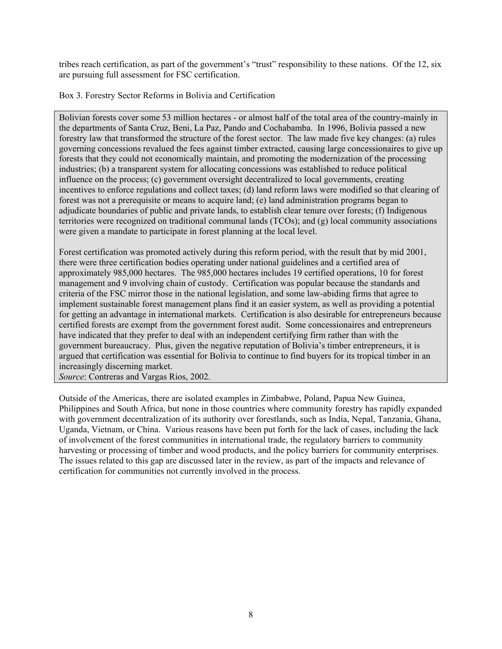tribes reach certification, as part of the government's "trust" responsibility to these nations. Of the 12, six are pursuing full assessment for FSC certification.

Box 3. Forestry Sector Reforms in Bolivia and Certification

Bolivian forests cover some 53 million hectares - or almost half of the total area of the country-mainly in the departments of Santa Cruz, Beni, La Paz, Pando and Cochabamba. In 1996, Bolivia passed a new forestry law that transformed the structure of the forest sector. The law made five key changes: (a) rules governing concessions revalued the fees against timber extracted, causing large concessionaires to give up forests that they could not economically maintain, and promoting the modernization of the processing industries; (b) a transparent system for allocating concessions was established to reduce political influence on the process; (c) government oversight decentralized to local governments, creating incentives to enforce regulations and collect taxes; (d) land reform laws were modified so that clearing of forest was not a prerequisite or means to acquire land; (e) land administration programs began to adjudicate boundaries of public and private lands, to establish clear tenure over forests; (f) Indigenous territories were recognized on traditional communal lands (TCOs); and (g) local community associations were given a mandate to participate in forest planning at the local level.

Forest certification was promoted actively during this reform period, with the result that by mid 2001, there were three certification bodies operating under national guidelines and a certified area of approximately 985,000 hectares. The 985,000 hectares includes 19 certified operations, 10 for forest management and 9 involving chain of custody. Certification was popular because the standards and criteria of the FSC mirror those in the national legislation, and some law-abiding firms that agree to implement sustainable forest management plans find it an easier system, as well as providing a potential for getting an advantage in international markets. Certification is also desirable for entrepreneurs because certified forests are exempt from the government forest audit. Some concessionaires and entrepreneurs have indicated that they prefer to deal with an independent certifying firm rather than with the government bureaucracy. Plus, given the negative reputation of Bolivia's timber entrepreneurs, it is argued that certification was essential for Bolivia to continue to find buyers for its tropical timber in an increasingly discerning market.

*Source*: Contreras and Vargas Rios, 2002.

Outside of the Americas, there are isolated examples in Zimbabwe, Poland, Papua New Guinea, Philippines and South Africa, but none in those countries where community forestry has rapidly expanded with government decentralization of its authority over forestlands, such as India, Nepal, Tanzania, Ghana, Uganda, Vietnam, or China. Various reasons have been put forth for the lack of cases, including the lack of involvement of the forest communities in international trade, the regulatory barriers to community harvesting or processing of timber and wood products, and the policy barriers for community enterprises. The issues related to this gap are discussed later in the review, as part of the impacts and relevance of certification for communities not currently involved in the process.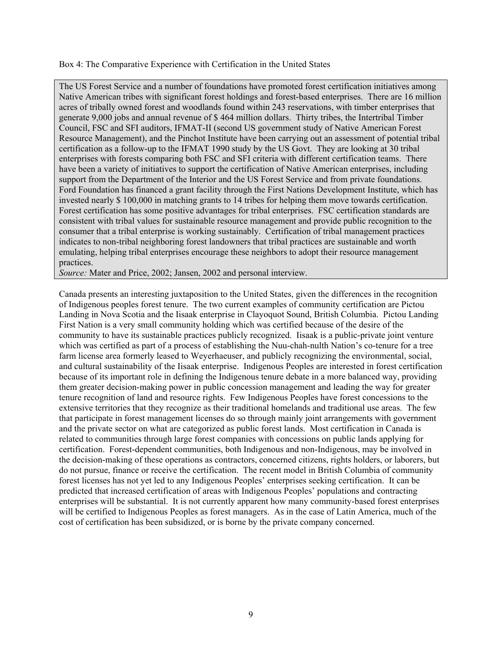Box 4: The Comparative Experience with Certification in the United States

The US Forest Service and a number of foundations have promoted forest certification initiatives among Native American tribes with significant forest holdings and forest-based enterprises. There are 16 million acres of tribally owned forest and woodlands found within 243 reservations, with timber enterprises that generate 9,000 jobs and annual revenue of \$ 464 million dollars. Thirty tribes, the Intertribal Timber Council, FSC and SFI auditors, IFMAT-II (second US government study of Native American Forest Resource Management), and the Pinchot Institute have been carrying out an assessment of potential tribal certification as a follow-up to the IFMAT 1990 study by the US Govt. They are looking at 30 tribal enterprises with forests comparing both FSC and SFI criteria with different certification teams. There have been a variety of initiatives to support the certification of Native American enterprises, including support from the Department of the Interior and the US Forest Service and from private foundations. Ford Foundation has financed a grant facility through the First Nations Development Institute, which has invested nearly \$ 100,000 in matching grants to 14 tribes for helping them move towards certification. Forest certification has some positive advantages for tribal enterprises. FSC certification standards are consistent with tribal values for sustainable resource management and provide public recognition to the consumer that a tribal enterprise is working sustainably. Certification of tribal management practices indicates to non-tribal neighboring forest landowners that tribal practices are sustainable and worth emulating, helping tribal enterprises encourage these neighbors to adopt their resource management practices.

*Source:* Mater and Price, 2002; Jansen, 2002 and personal interview.

Canada presents an interesting juxtaposition to the United States, given the differences in the recognition of Indigenous peoples forest tenure. The two current examples of community certification are Pictou Landing in Nova Scotia and the Iisaak enterprise in Clayoquot Sound, British Columbia. Pictou Landing First Nation is a very small community holding which was certified because of the desire of the community to have its sustainable practices publicly recognized. Iisaak is a public-private joint venture which was certified as part of a process of establishing the Nuu-chah-nulth Nation's co-tenure for a tree farm license area formerly leased to Weyerhaeuser, and publicly recognizing the environmental, social, and cultural sustainability of the Iisaak enterprise. Indigenous Peoples are interested in forest certification because of its important role in defining the Indigenous tenure debate in a more balanced way, providing them greater decision-making power in public concession management and leading the way for greater tenure recognition of land and resource rights. Few Indigenous Peoples have forest concessions to the extensive territories that they recognize as their traditional homelands and traditional use areas. The few that participate in forest management licenses do so through mainly joint arrangements with government and the private sector on what are categorized as public forest lands. Most certification in Canada is related to communities through large forest companies with concessions on public lands applying for certification. Forest-dependent communities, both Indigenous and non-Indigenous, may be involved in the decision-making of these operations as contractors, concerned citizens, rights holders, or laborers, but do not pursue, finance or receive the certification. The recent model in British Columbia of community forest licenses has not yet led to any Indigenous Peoples' enterprises seeking certification. It can be predicted that increased certification of areas with Indigenous Peoples' populations and contracting enterprises will be substantial. It is not currently apparent how many community-based forest enterprises will be certified to Indigenous Peoples as forest managers. As in the case of Latin America, much of the cost of certification has been subsidized, or is borne by the private company concerned.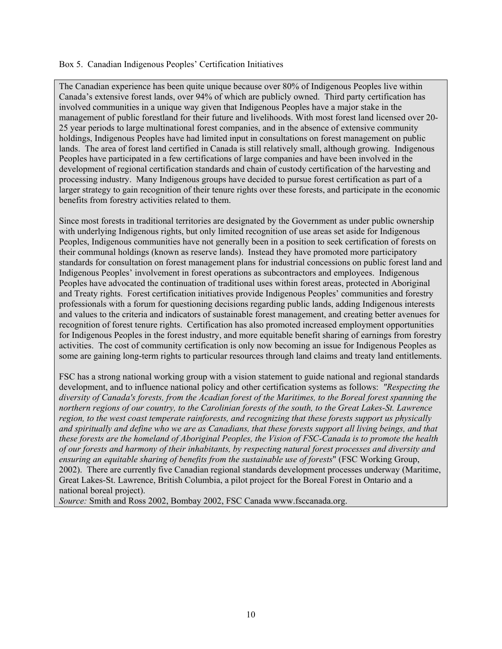#### Box 5. Canadian Indigenous Peoples' Certification Initiatives

The Canadian experience has been quite unique because over 80% of Indigenous Peoples live within Canada's extensive forest lands, over 94% of which are publicly owned. Third party certification has involved communities in a unique way given that Indigenous Peoples have a major stake in the management of public forestland for their future and livelihoods. With most forest land licensed over 20- 25 year periods to large multinational forest companies, and in the absence of extensive community holdings, Indigenous Peoples have had limited input in consultations on forest management on public lands. The area of forest land certified in Canada is still relatively small, although growing. Indigenous Peoples have participated in a few certifications of large companies and have been involved in the development of regional certification standards and chain of custody certification of the harvesting and processing industry. Many Indigenous groups have decided to pursue forest certification as part of a larger strategy to gain recognition of their tenure rights over these forests, and participate in the economic benefits from forestry activities related to them.

Since most forests in traditional territories are designated by the Government as under public ownership with underlying Indigenous rights, but only limited recognition of use areas set aside for Indigenous Peoples, Indigenous communities have not generally been in a position to seek certification of forests on their communal holdings (known as reserve lands). Instead they have promoted more participatory standards for consultation on forest management plans for industrial concessions on public forest land and Indigenous Peoples' involvement in forest operations as subcontractors and employees. Indigenous Peoples have advocated the continuation of traditional uses within forest areas, protected in Aboriginal and Treaty rights. Forest certification initiatives provide Indigenous Peoples' communities and forestry professionals with a forum for questioning decisions regarding public lands, adding Indigenous interests and values to the criteria and indicators of sustainable forest management, and creating better avenues for recognition of forest tenure rights. Certification has also promoted increased employment opportunities for Indigenous Peoples in the forest industry, and more equitable benefit sharing of earnings from forestry activities. The cost of community certification is only now becoming an issue for Indigenous Peoples as some are gaining long-term rights to particular resources through land claims and treaty land entitlements.

FSC has a strong national working group with a vision statement to guide national and regional standards development, and to influence national policy and other certification systems as follows: *"Respecting the diversity of Canada's forests, from the Acadian forest of the Maritimes, to the Boreal forest spanning the northern regions of our country, to the Carolinian forests of the south, to the Great Lakes-St. Lawrence region, to the west coast temperate rainforests, and recognizing that these forests support us physically and spiritually and define who we are as Canadians, that these forests support all living beings, and that these forests are the homeland of Aboriginal Peoples, the Vision of FSC-Canada is to promote the health of our forests and harmony of their inhabitants, by respecting natural forest processes and diversity and ensuring an equitable sharing of benefits from the sustainable use of forests*" (FSC Working Group, 2002). There are currently five Canadian regional standards development processes underway (Maritime, Great Lakes-St. Lawrence, British Columbia, a pilot project for the Boreal Forest in Ontario and a national boreal project).

*Source:* Smith and Ross 2002, Bombay 2002, FSC Canada www.fsccanada.org.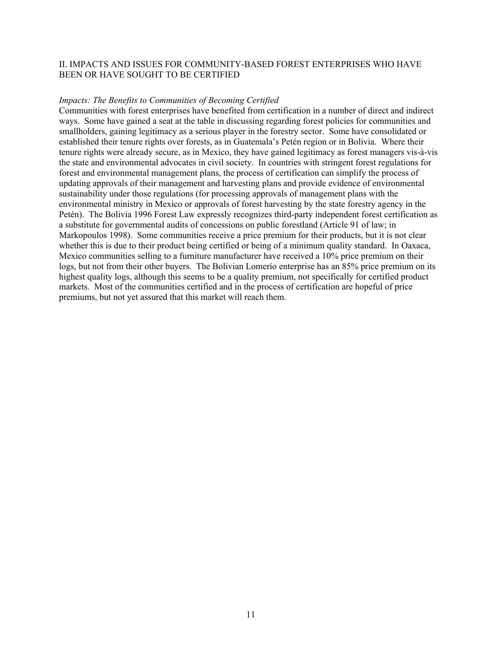#### <span id="page-17-0"></span>II. IMPACTS AND ISSUES FOR COMMUNITY-BASED FOREST ENTERPRISES WHO HAVE BEEN OR HAVE SOUGHT TO BE CERTIFIED

#### *Impacts: The Benefits to Communities of Becoming Certified*

Communities with forest enterprises have benefited from certification in a number of direct and indirect ways. Some have gained a seat at the table in discussing regarding forest policies for communities and smallholders, gaining legitimacy as a serious player in the forestry sector. Some have consolidated or established their tenure rights over forests, as in Guatemala's Petén region or in Bolivia. Where their tenure rights were already secure, as in Mexico, they have gained legitimacy as forest managers vis-à-vis the state and environmental advocates in civil society. In countries with stringent forest regulations for forest and environmental management plans, the process of certification can simplify the process of updating approvals of their management and harvesting plans and provide evidence of environmental sustainability under those regulations (for processing approvals of management plans with the environmental ministry in Mexico or approvals of forest harvesting by the state forestry agency in the Petén). The Bolivia 1996 Forest Law expressly recognizes third-party independent forest certification as a substitute for governmental audits of concessions on public forestland (Article 91 of law; in Markopoulos 1998). Some communities receive a price premium for their products, but it is not clear whether this is due to their product being certified or being of a minimum quality standard. In Oaxaca, Mexico communities selling to a furniture manufacturer have received a 10% price premium on their logs, but not from their other buyers. The Bolivian Lomerío enterprise has an 85% price premium on its highest quality logs, although this seems to be a quality premium, not specifically for certified product markets. Most of the communities certified and in the process of certification are hopeful of price premiums, but not yet assured that this market will reach them.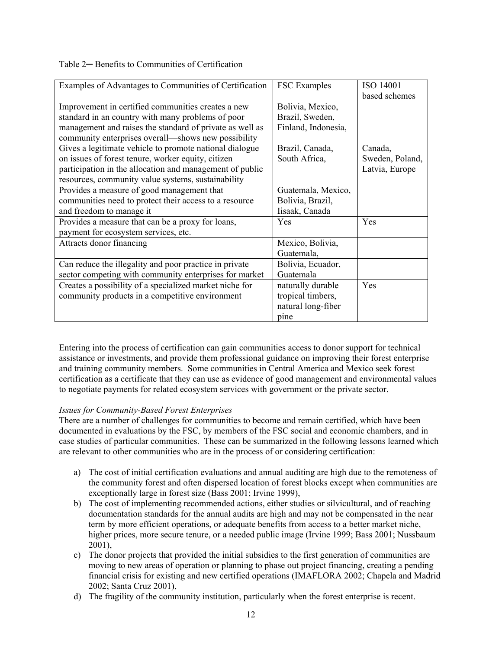<span id="page-18-0"></span>

| Table 2– Benefits to Communities of Certification |  |  |
|---------------------------------------------------|--|--|
|---------------------------------------------------|--|--|

| Examples of Advantages to Communities of Certification   | <b>FSC</b> Examples | ISO 14001       |
|----------------------------------------------------------|---------------------|-----------------|
|                                                          |                     | based schemes   |
| Improvement in certified communities creates a new       | Bolivia, Mexico,    |                 |
| standard in an country with many problems of poor        | Brazil, Sweden,     |                 |
| management and raises the standard of private as well as | Finland, Indonesia, |                 |
| community enterprises overall—shows new possibility      |                     |                 |
| Gives a legitimate vehicle to promote national dialogue  | Brazil, Canada,     | Canada,         |
| on issues of forest tenure, worker equity, citizen       | South Africa,       | Sweden, Poland, |
| participation in the allocation and management of public |                     | Latvia, Europe  |
| resources, community value systems, sustainability       |                     |                 |
| Provides a measure of good management that               | Guatemala, Mexico,  |                 |
| communities need to protect their access to a resource   | Bolivia, Brazil,    |                 |
| and freedom to manage it                                 | Iisaak, Canada      |                 |
| Provides a measure that can be a proxy for loans,        | Yes                 | Yes             |
| payment for ecosystem services, etc.                     |                     |                 |
| Attracts donor financing                                 | Mexico, Bolivia,    |                 |
|                                                          | Guatemala,          |                 |
| Can reduce the illegality and poor practice in private   | Bolivia, Ecuador,   |                 |
| sector competing with community enterprises for market   | Guatemala           |                 |
| Creates a possibility of a specialized market niche for  | naturally durable   | Yes             |
| community products in a competitive environment          | tropical timbers,   |                 |
|                                                          | natural long-fiber  |                 |
|                                                          | pine                |                 |

Entering into the process of certification can gain communities access to donor support for technical assistance or investments, and provide them professional guidance on improving their forest enterprise and training community members. Some communities in Central America and Mexico seek forest certification as a certificate that they can use as evidence of good management and environmental values to negotiate payments for related ecosystem services with government or the private sector.

# *Issues for Community-Based Forest Enterprises*

There are a number of challenges for communities to become and remain certified, which have been documented in evaluations by the FSC, by members of the FSC social and economic chambers, and in case studies of particular communities. These can be summarized in the following lessons learned which are relevant to other communities who are in the process of or considering certification:

- a) The cost of initial certification evaluations and annual auditing are high due to the remoteness of the community forest and often dispersed location of forest blocks except when communities are exceptionally large in forest size (Bass 2001; Irvine 1999),
- b) The cost of implementing recommended actions, either studies or silvicultural, and of reaching documentation standards for the annual audits are high and may not be compensated in the near term by more efficient operations, or adequate benefits from access to a better market niche, higher prices, more secure tenure, or a needed public image (Irvine 1999; Bass 2001; Nussbaum 2001),
- c) The donor projects that provided the initial subsidies to the first generation of communities are moving to new areas of operation or planning to phase out project financing, creating a pending financial crisis for existing and new certified operations (IMAFLORA 2002; Chapela and Madrid 2002; Santa Cruz 2001),
- d) The fragility of the community institution, particularly when the forest enterprise is recent.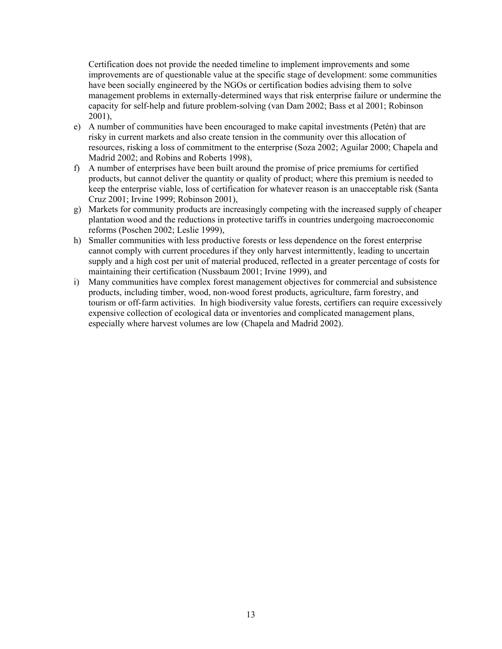Certification does not provide the needed timeline to implement improvements and some improvements are of questionable value at the specific stage of development: some communities have been socially engineered by the NGOs or certification bodies advising them to solve management problems in externally-determined ways that risk enterprise failure or undermine the capacity for self-help and future problem-solving (van Dam 2002; Bass et al 2001; Robinson 2001),

- e) A number of communities have been encouraged to make capital investments (Petén) that are risky in current markets and also create tension in the community over this allocation of resources, risking a loss of commitment to the enterprise (Soza 2002; Aguilar 2000; Chapela and Madrid 2002; and Robins and Roberts 1998),
- f) A number of enterprises have been built around the promise of price premiums for certified products, but cannot deliver the quantity or quality of product; where this premium is needed to keep the enterprise viable, loss of certification for whatever reason is an unacceptable risk (Santa Cruz 2001; Irvine 1999; Robinson 2001),
- g) Markets for community products are increasingly competing with the increased supply of cheaper plantation wood and the reductions in protective tariffs in countries undergoing macroeconomic reforms (Poschen 2002; Leslie 1999),
- h) Smaller communities with less productive forests or less dependence on the forest enterprise cannot comply with current procedures if they only harvest intermittently, leading to uncertain supply and a high cost per unit of material produced, reflected in a greater percentage of costs for maintaining their certification (Nussbaum 2001; Irvine 1999), and
- i) Many communities have complex forest management objectives for commercial and subsistence products, including timber, wood, non-wood forest products, agriculture, farm forestry, and tourism or off-farm activities. In high biodiversity value forests, certifiers can require excessively expensive collection of ecological data or inventories and complicated management plans, especially where harvest volumes are low (Chapela and Madrid 2002).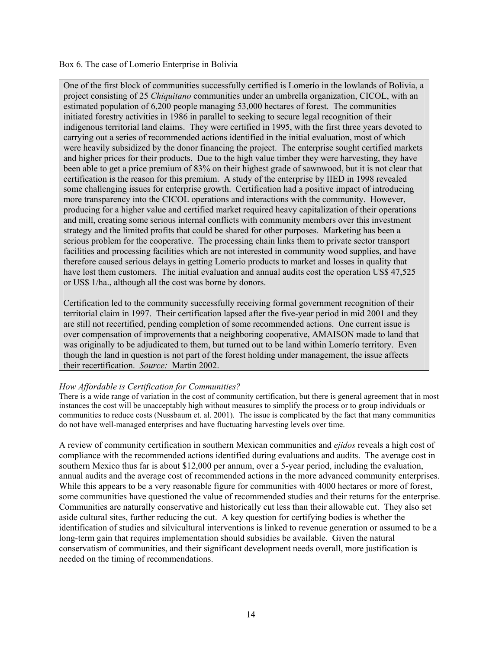#### <span id="page-20-0"></span>Box 6. The case of Lomerío Enterprise in Bolivia

One of the first block of communities successfully certified is Lomerío in the lowlands of Bolivia, a project consisting of 25 *Chiquitano* communities under an umbrella organization, CICOL, with an estimated population of 6,200 people managing 53,000 hectares of forest. The communities initiated forestry activities in 1986 in parallel to seeking to secure legal recognition of their indigenous territorial land claims. They were certified in 1995, with the first three years devoted to carrying out a series of recommended actions identified in the initial evaluation, most of which were heavily subsidized by the donor financing the project. The enterprise sought certified markets and higher prices for their products. Due to the high value timber they were harvesting, they have been able to get a price premium of 83% on their highest grade of sawnwood, but it is not clear that certification is the reason for this premium. A study of the enterprise by IIED in 1998 revealed some challenging issues for enterprise growth. Certification had a positive impact of introducing more transparency into the CICOL operations and interactions with the community. However, producing for a higher value and certified market required heavy capitalization of their operations and mill, creating some serious internal conflicts with community members over this investment strategy and the limited profits that could be shared for other purposes. Marketing has been a serious problem for the cooperative. The processing chain links them to private sector transport facilities and processing facilities which are not interested in community wood supplies, and have therefore caused serious delays in getting Lomerio products to market and losses in quality that have lost them customers. The initial evaluation and annual audits cost the operation US\$ 47,525 or US\$ 1/ha., although all the cost was borne by donors.

Certification led to the community successfully receiving formal government recognition of their territorial claim in 1997. Their certification lapsed after the five-year period in mid 2001 and they are still not recertified, pending completion of some recommended actions. One current issue is over compensation of improvements that a neighboring cooperative, AMAISON made to land that was originally to be adjudicated to them, but turned out to be land within Lomerío territory. Even though the land in question is not part of the forest holding under management, the issue affects their recertification. *Source:* Martin 2002.

### *How Affordable is Certification for Communities?*

There is a wide range of variation in the cost of community certification, but there is general agreement that in most instances the cost will be unacceptably high without measures to simplify the process or to group individuals or communities to reduce costs (Nussbaum et. al. 2001). The issue is complicated by the fact that many communities do not have well-managed enterprises and have fluctuating harvesting levels over time.

A review of community certification in southern Mexican communities and *ejidos* reveals a high cost of compliance with the recommended actions identified during evaluations and audits. The average cost in southern Mexico thus far is about \$12,000 per annum, over a 5-year period, including the evaluation, annual audits and the average cost of recommended actions in the more advanced community enterprises. While this appears to be a very reasonable figure for communities with 4000 hectares or more of forest, some communities have questioned the value of recommended studies and their returns for the enterprise. Communities are naturally conservative and historically cut less than their allowable cut. They also set aside cultural sites, further reducing the cut. A key question for certifying bodies is whether the identification of studies and silvicultural interventions is linked to revenue generation or assumed to be a long-term gain that requires implementation should subsidies be available. Given the natural conservatism of communities, and their significant development needs overall, more justification is needed on the timing of recommendations.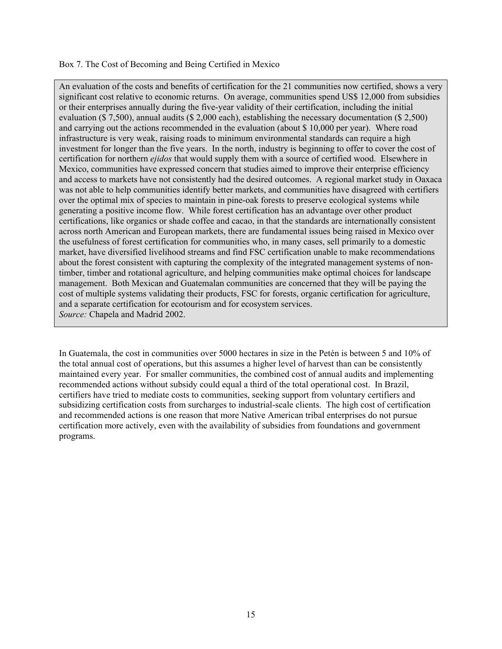#### Box 7. The Cost of Becoming and Being Certified in Mexico

An evaluation of the costs and benefits of certification for the 21 communities now certified, shows a very significant cost relative to economic returns. On average, communities spend US\$ 12,000 from subsidies or their enterprises annually during the five-year validity of their certification, including the initial evaluation (\$ 7,500), annual audits (\$ 2,000 each), establishing the necessary documentation (\$ 2,500) and carrying out the actions recommended in the evaluation (about \$ 10,000 per year). Where road infrastructure is very weak, raising roads to minimum environmental standards can require a high investment for longer than the five years. In the north, industry is beginning to offer to cover the cost of certification for northern *ejidos* that would supply them with a source of certified wood. Elsewhere in Mexico, communities have expressed concern that studies aimed to improve their enterprise efficiency and access to markets have not consistently had the desired outcomes. A regional market study in Oaxaca was not able to help communities identify better markets, and communities have disagreed with certifiers over the optimal mix of species to maintain in pine-oak forests to preserve ecological systems while generating a positive income flow. While forest certification has an advantage over other product certifications, like organics or shade coffee and cacao, in that the standards are internationally consistent across north American and European markets, there are fundamental issues being raised in Mexico over the usefulness of forest certification for communities who, in many cases, sell primarily to a domestic market, have diversified livelihood streams and find FSC certification unable to make recommendations about the forest consistent with capturing the complexity of the integrated management systems of nontimber, timber and rotational agriculture, and helping communities make optimal choices for landscape management. Both Mexican and Guatemalan communities are concerned that they will be paying the cost of multiple systems validating their products, FSC for forests, organic certification for agriculture, and a separate certification for ecotourism and for ecosystem services. *Source:* Chapela and Madrid 2002.

In Guatemala, the cost in communities over 5000 hectares in size in the Petén is between 5 and 10% of the total annual cost of operations, but this assumes a higher level of harvest than can be consistently maintained every year. For smaller communities, the combined cost of annual audits and implementing recommended actions without subsidy could equal a third of the total operational cost. In Brazil, certifiers have tried to mediate costs to communities, seeking support from voluntary certifiers and subsidizing certification costs from surcharges to industrial-scale clients. The high cost of certification and recommended actions is one reason that more Native American tribal enterprises do not pursue certification more actively, even with the availability of subsidies from foundations and government programs.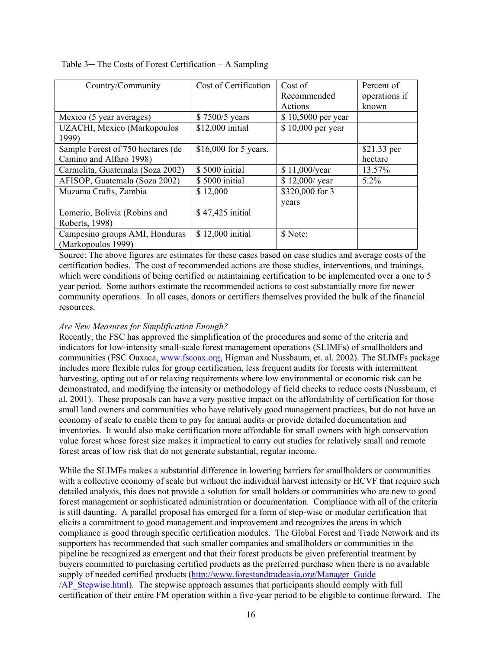| Country/Community                  | Cost of Certification  | Cost of            | Percent of    |
|------------------------------------|------------------------|--------------------|---------------|
|                                    |                        | Recommended        | operations if |
|                                    |                        | Actions            | known         |
| Mexico (5 year averages)           | \$7500/5 years         | \$10,5000 per year |               |
| <b>UZACHI, Mexico (Markopoulos</b> | \$12,000 initial       | \$10,000 per year  |               |
| 1999)                              |                        |                    |               |
| Sample Forest of 750 hectares (de  | $$16,000$ for 5 years. |                    | \$21.33 per   |
| Camino and Alfaro 1998)            |                        |                    | hectare       |
| Carmelita, Guatemala (Soza 2002)   | \$5000 initial         | \$11,000/year      | 13.57%        |
| AFISOP, Guatemala (Soza 2002)      | \$5000 initial         | \$12,000/ year     | 5.2%          |
| Muzama Crafts, Zambia              | \$12,000               | \$320,000 for 3    |               |
|                                    |                        | years              |               |
| Lomerio, Bolivia (Robins and       | \$47,425 initial       |                    |               |
| Roberts, 1998)                     |                        |                    |               |
| Campesino groups AMI, Honduras     | \$12,000 initial       | \$ Note:           |               |
| (Markopoulos 1999)                 |                        |                    |               |

#### <span id="page-22-0"></span>Table 3— The Costs of Forest Certification – A Sampling

Source: The above figures are estimates for these cases based on case studies and average costs of the certification bodies. The cost of recommended actions are those studies, interventions, and trainings, which were conditions of being certified or maintaining certification to be implemented over a one to 5 year period. Some authors estimate the recommended actions to cost substantially more for newer community operations. In all cases, donors or certifiers themselves provided the bulk of the financial resources.

### *Are New Measures for Simplification Enough?*

Recently, the FSC has approved the simplification of the procedures and some of the criteria and indicators for low-intensity small-scale forest management operations (SLIMFs) of smallholders and communities (FSC Oaxaca, [www.fscoax.org,](http://www.fscoax.org/) Higman and Nussbaum, et. al. 2002). The SLIMFs package includes more flexible rules for group certification, less frequent audits for forests with intermittent harvesting, opting out of or relaxing requirements where low environmental or economic risk can be demonstrated, and modifying the intensity or methodology of field checks to reduce costs (Nussbaum, et al. 2001). These proposals can have a very positive impact on the affordability of certification for those small land owners and communities who have relatively good management practices, but do not have an economy of scale to enable them to pay for annual audits or provide detailed documentation and inventories. It would also make certification more affordable for small owners with high conservation value forest whose forest size makes it impractical to carry out studies for relatively small and remote forest areas of low risk that do not generate substantial, regular income.

While the SLIMFs makes a substantial difference in lowering barriers for smallholders or communities with a collective economy of scale but without the individual harvest intensity or HCVF that require such detailed analysis, this does not provide a solution for small holders or communities who are new to good forest management or sophisticated administration or documentation. Compliance with all of the criteria is still daunting. A parallel proposal has emerged for a form of step-wise or modular certification that elicits a commitment to good management and improvement and recognizes the areas in which compliance is good through specific certification modules. The Global Forest and Trade Network and its supporters has recommended that such smaller companies and smallholders or communities in the pipeline be recognized as emergent and that their forest products be given preferential treatment by buyers committed to purchasing certified products as the preferred purchase when there is no available supply of needed certified products (http://www.forestandtradeasia.org/Manager\_Guide [/AP\\_Stepwise.html](http://www.forestandtradeasia.org/Manager_Guide%20/AP_Stepwise.html)). The stepwise approach assumes that participants should comply with full certification of their entire FM operation within a five-year period to be eligible to continue forward. The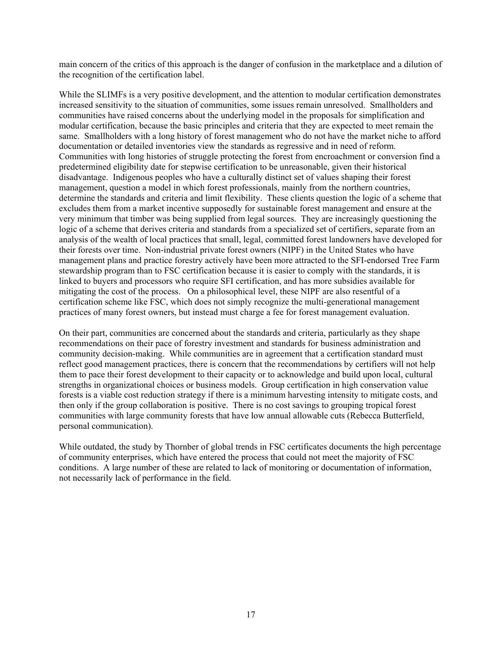main concern of the critics of this approach is the danger of confusion in the marketplace and a dilution of the recognition of the certification label.

While the SLIMFs is a very positive development, and the attention to modular certification demonstrates increased sensitivity to the situation of communities, some issues remain unresolved. Smallholders and communities have raised concerns about the underlying model in the proposals for simplification and modular certification, because the basic principles and criteria that they are expected to meet remain the same. Smallholders with a long history of forest management who do not have the market niche to afford documentation or detailed inventories view the standards as regressive and in need of reform. Communities with long histories of struggle protecting the forest from encroachment or conversion find a predetermined eligibility date for stepwise certification to be unreasonable, given their historical disadvantage. Indigenous peoples who have a culturally distinct set of values shaping their forest management, question a model in which forest professionals, mainly from the northern countries, determine the standards and criteria and limit flexibility. These clients question the logic of a scheme that excludes them from a market incentive supposedly for sustainable forest management and ensure at the very minimum that timber was being supplied from legal sources. They are increasingly questioning the logic of a scheme that derives criteria and standards from a specialized set of certifiers, separate from an analysis of the wealth of local practices that small, legal, committed forest landowners have developed for their forests over time. Non-industrial private forest owners (NIPF) in the United States who have management plans and practice forestry actively have been more attracted to the SFI-endorsed Tree Farm stewardship program than to FSC certification because it is easier to comply with the standards, it is linked to buyers and processors who require SFI certification, and has more subsidies available for mitigating the cost of the process. On a philosophical level, these NIPF are also resentful of a certification scheme like FSC, which does not simply recognize the multi-generational management practices of many forest owners, but instead must charge a fee for forest management evaluation.

On their part, communities are concerned about the standards and criteria, particularly as they shape recommendations on their pace of forestry investment and standards for business administration and community decision-making. While communities are in agreement that a certification standard must reflect good management practices, there is concern that the recommendations by certifiers will not help them to pace their forest development to their capacity or to acknowledge and build upon local, cultural strengths in organizational choices or business models. Group certification in high conservation value forests is a viable cost reduction strategy if there is a minimum harvesting intensity to mitigate costs, and then only if the group collaboration is positive. There is no cost savings to grouping tropical forest communities with large community forests that have low annual allowable cuts (Rebecca Butterfield, personal communication).

While outdated, the study by Thornber of global trends in FSC certificates documents the high percentage of community enterprises, which have entered the process that could not meet the majority of FSC conditions. A large number of these are related to lack of monitoring or documentation of information, not necessarily lack of performance in the field.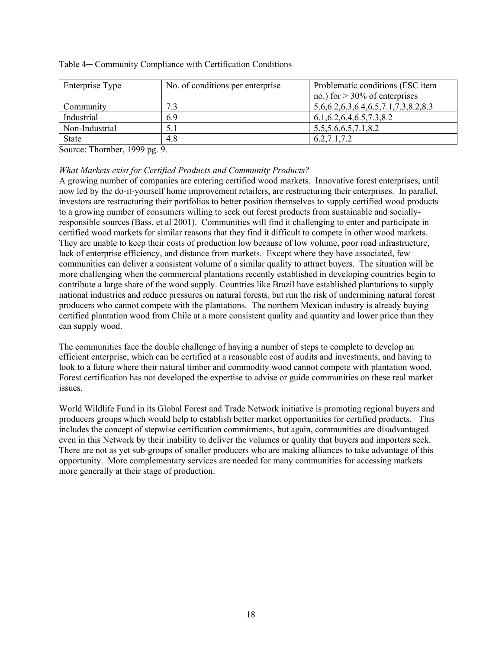| Enterprise Type | No. of conditions per enterprise | Problematic conditions (FSC item<br>no.) for $> 30\%$ of enterprises |
|-----------------|----------------------------------|----------------------------------------------------------------------|
| Community       | 73                               | $5.6, 6.2, 6.3, 6.4, 6.5, 7.1, 7.3, 8.2, 8.3$                        |
| Industrial      | 6.9                              | 6.1, 6.2, 6.4, 6.5, 7.3, 8.2                                         |
| Non-Industrial  |                                  | 5.5, 5.6, 6.5, 7.1, 8.2                                              |
| <b>State</b>    | 4.8                              | 6.2, 7.1, 7.2                                                        |

#### <span id="page-24-0"></span>Table 4— Community Compliance with Certification Conditions

Source: Thornber, 1999 pg. 9.

### *What Markets exist for Certified Products and Community Products?*

A growing number of companies are entering certified wood markets. Innovative forest enterprises, until now led by the do-it-yourself home improvement retailers, are restructuring their enterprises. In parallel, investors are restructuring their portfolios to better position themselves to supply certified wood products to a growing number of consumers willing to seek out forest products from sustainable and sociallyresponsible sources (Bass, et al 2001). Communities will find it challenging to enter and participate in certified wood markets for similar reasons that they find it difficult to compete in other wood markets. They are unable to keep their costs of production low because of low volume, poor road infrastructure, lack of enterprise efficiency, and distance from markets. Except where they have associated, few communities can deliver a consistent volume of a similar quality to attract buyers. The situation will be more challenging when the commercial plantations recently established in developing countries begin to contribute a large share of the wood supply. Countries like Brazil have established plantations to supply national industries and reduce pressures on natural forests, but run the risk of undermining natural forest producers who cannot compete with the plantations. The northern Mexican industry is already buying certified plantation wood from Chile at a more consistent quality and quantity and lower price than they can supply wood.

The communities face the double challenge of having a number of steps to complete to develop an efficient enterprise, which can be certified at a reasonable cost of audits and investments, and having to look to a future where their natural timber and commodity wood cannot compete with plantation wood. Forest certification has not developed the expertise to advise or guide communities on these real market issues.

World Wildlife Fund in its Global Forest and Trade Network initiative is promoting regional buyers and producers groups which would help to establish better market opportunities for certified products. This includes the concept of stepwise certification commitments, but again, communities are disadvantaged even in this Network by their inability to deliver the volumes or quality that buyers and importers seek. There are not as yet sub-groups of smaller producers who are making alliances to take advantage of this opportunity. More complementary services are needed for many communities for accessing markets more generally at their stage of production.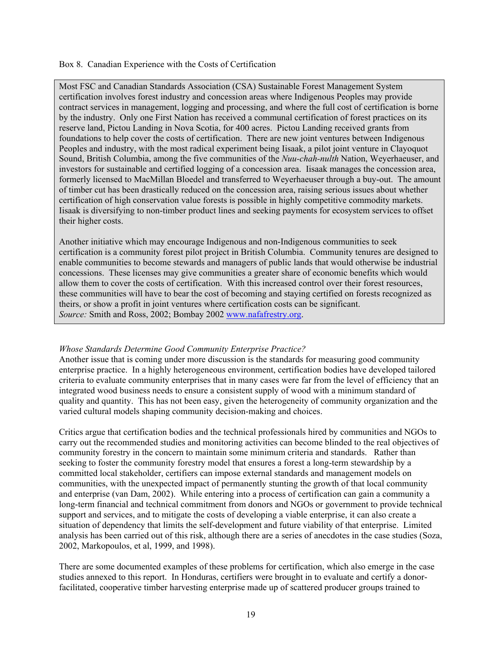<span id="page-25-0"></span>Box 8. Canadian Experience with the Costs of Certification

Most FSC and Canadian Standards Association (CSA) Sustainable Forest Management System certification involves forest industry and concession areas where Indigenous Peoples may provide contract services in management, logging and processing, and where the full cost of certification is borne by the industry. Only one First Nation has received a communal certification of forest practices on its reserve land, Pictou Landing in Nova Scotia, for 400 acres. Pictou Landing received grants from foundations to help cover the costs of certification. There are new joint ventures between Indigenous Peoples and industry, with the most radical experiment being Iisaak, a pilot joint venture in Clayoquot Sound, British Columbia, among the five communities of the *Nuu-chah-nulth* Nation, Weyerhaeuser, and investors for sustainable and certified logging of a concession area. Iisaak manages the concession area, formerly licensed to MacMillan Bloedel and transferred to Weyerhaeuser through a buy-out. The amount of timber cut has been drastically reduced on the concession area, raising serious issues about whether certification of high conservation value forests is possible in highly competitive commodity markets. Iisaak is diversifying to non-timber product lines and seeking payments for ecosystem services to offset their higher costs.

Another initiative which may encourage Indigenous and non-Indigenous communities to seek certification is a community forest pilot project in British Columbia. Community tenures are designed to enable communities to become stewards and managers of public lands that would otherwise be industrial concessions. These licenses may give communities a greater share of economic benefits which would allow them to cover the costs of certification. With this increased control over their forest resources, these communities will have to bear the cost of becoming and staying certified on forests recognized as theirs, or show a profit in joint ventures where certification costs can be significant. *Source:* Smith and Ross, 2002; Bombay 2002 [www.nafafrestry.org.](http://www.nafaforestry.org/)

### *Whose Standards Determine Good Community Enterprise Practice?*

Another issue that is coming under more discussion is the standards for measuring good community enterprise practice. In a highly heterogeneous environment, certification bodies have developed tailored criteria to evaluate community enterprises that in many cases were far from the level of efficiency that an integrated wood business needs to ensure a consistent supply of wood with a minimum standard of quality and quantity. This has not been easy, given the heterogeneity of community organization and the varied cultural models shaping community decision-making and choices.

Critics argue that certification bodies and the technical professionals hired by communities and NGOs to carry out the recommended studies and monitoring activities can become blinded to the real objectives of community forestry in the concern to maintain some minimum criteria and standards. Rather than seeking to foster the community forestry model that ensures a forest a long-term stewardship by a committed local stakeholder, certifiers can impose external standards and management models on communities, with the unexpected impact of permanently stunting the growth of that local community and enterprise (van Dam, 2002). While entering into a process of certification can gain a community a long-term financial and technical commitment from donors and NGOs or government to provide technical support and services, and to mitigate the costs of developing a viable enterprise, it can also create a situation of dependency that limits the self-development and future viability of that enterprise. Limited analysis has been carried out of this risk, although there are a series of anecdotes in the case studies (Soza, 2002, Markopoulos, et al, 1999, and 1998).

There are some documented examples of these problems for certification, which also emerge in the case studies annexed to this report. In Honduras, certifiers were brought in to evaluate and certify a donorfacilitated, cooperative timber harvesting enterprise made up of scattered producer groups trained to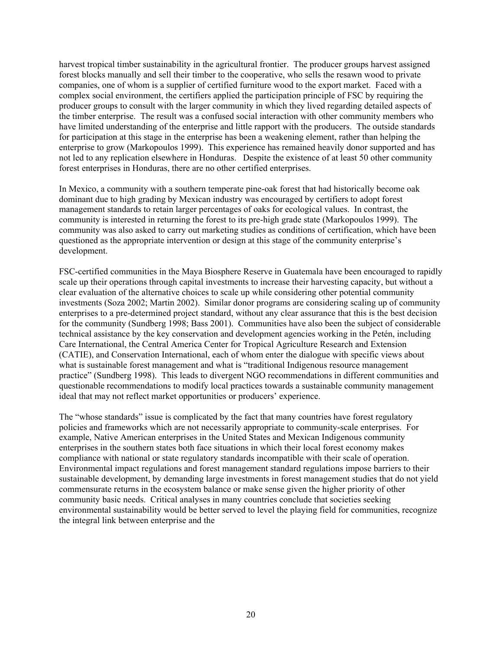harvest tropical timber sustainability in the agricultural frontier. The producer groups harvest assigned forest blocks manually and sell their timber to the cooperative, who sells the resawn wood to private companies, one of whom is a supplier of certified furniture wood to the export market. Faced with a complex social environment, the certifiers applied the participation principle of FSC by requiring the producer groups to consult with the larger community in which they lived regarding detailed aspects of the timber enterprise. The result was a confused social interaction with other community members who have limited understanding of the enterprise and little rapport with the producers. The outside standards for participation at this stage in the enterprise has been a weakening element, rather than helping the enterprise to grow (Markopoulos 1999). This experience has remained heavily donor supported and has not led to any replication elsewhere in Honduras. Despite the existence of at least 50 other community forest enterprises in Honduras, there are no other certified enterprises.

In Mexico, a community with a southern temperate pine-oak forest that had historically become oak dominant due to high grading by Mexican industry was encouraged by certifiers to adopt forest management standards to retain larger percentages of oaks for ecological values. In contrast, the community is interested in returning the forest to its pre-high grade state (Markopoulos 1999). The community was also asked to carry out marketing studies as conditions of certification, which have been questioned as the appropriate intervention or design at this stage of the community enterprise's development.

FSC-certified communities in the Maya Biosphere Reserve in Guatemala have been encouraged to rapidly scale up their operations through capital investments to increase their harvesting capacity, but without a clear evaluation of the alternative choices to scale up while considering other potential community investments (Soza 2002; Martin 2002). Similar donor programs are considering scaling up of community enterprises to a pre-determined project standard, without any clear assurance that this is the best decision for the community (Sundberg 1998; Bass 2001). Communities have also been the subject of considerable technical assistance by the key conservation and development agencies working in the Petén, including Care International, the Central America Center for Tropical Agriculture Research and Extension (CATIE), and Conservation International, each of whom enter the dialogue with specific views about what is sustainable forest management and what is "traditional Indigenous resource management practice" (Sundberg 1998). This leads to divergent NGO recommendations in different communities and questionable recommendations to modify local practices towards a sustainable community management ideal that may not reflect market opportunities or producers' experience.

The "whose standards" issue is complicated by the fact that many countries have forest regulatory policies and frameworks which are not necessarily appropriate to community-scale enterprises. For example, Native American enterprises in the United States and Mexican Indigenous community enterprises in the southern states both face situations in which their local forest economy makes compliance with national or state regulatory standards incompatible with their scale of operation. Environmental impact regulations and forest management standard regulations impose barriers to their sustainable development, by demanding large investments in forest management studies that do not yield commensurate returns in the ecosystem balance or make sense given the higher priority of other community basic needs. Critical analyses in many countries conclude that societies seeking environmental sustainability would be better served to level the playing field for communities, recognize the integral link between enterprise and the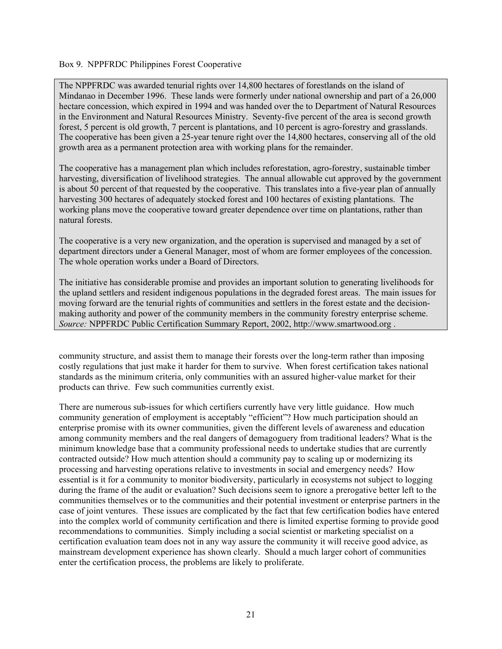#### Box 9. NPPFRDC Philippines Forest Cooperative

The NPPFRDC was awarded tenurial rights over 14,800 hectares of forestlands on the island of Mindanao in December 1996. These lands were formerly under national ownership and part of a 26,000 hectare concession, which expired in 1994 and was handed over the to Department of Natural Resources in the Environment and Natural Resources Ministry. Seventy-five percent of the area is second growth forest, 5 percent is old growth, 7 percent is plantations, and 10 percent is agro-forestry and grasslands. The cooperative has been given a 25-year tenure right over the 14,800 hectares, conserving all of the old growth area as a permanent protection area with working plans for the remainder.

The cooperative has a management plan which includes reforestation, agro-forestry, sustainable timber harvesting, diversification of livelihood strategies. The annual allowable cut approved by the government is about 50 percent of that requested by the cooperative. This translates into a five-year plan of annually harvesting 300 hectares of adequately stocked forest and 100 hectares of existing plantations. The working plans move the cooperative toward greater dependence over time on plantations, rather than natural forests.

The cooperative is a very new organization, and the operation is supervised and managed by a set of department directors under a General Manager, most of whom are former employees of the concession. The whole operation works under a Board of Directors.

The initiative has considerable promise and provides an important solution to generating livelihoods for the upland settlers and resident indigenous populations in the degraded forest areas. The main issues for moving forward are the tenurial rights of communities and settlers in the forest estate and the decisionmaking authority and power of the community members in the community forestry enterprise scheme. *Source:* NPPFRDC Public Certification Summary Report, 2002, http://www.smartwood.org .

community structure, and assist them to manage their forests over the long-term rather than imposing costly regulations that just make it harder for them to survive. When forest certification takes national standards as the minimum criteria, only communities with an assured higher-value market for their products can thrive. Few such communities currently exist.

There are numerous sub-issues for which certifiers currently have very little guidance. How much community generation of employment is acceptably "efficient"? How much participation should an enterprise promise with its owner communities, given the different levels of awareness and education among community members and the real dangers of demagoguery from traditional leaders? What is the minimum knowledge base that a community professional needs to undertake studies that are currently contracted outside? How much attention should a community pay to scaling up or modernizing its processing and harvesting operations relative to investments in social and emergency needs? How essential is it for a community to monitor biodiversity, particularly in ecosystems not subject to logging during the frame of the audit or evaluation? Such decisions seem to ignore a prerogative better left to the communities themselves or to the communities and their potential investment or enterprise partners in the case of joint ventures. These issues are complicated by the fact that few certification bodies have entered into the complex world of community certification and there is limited expertise forming to provide good recommendations to communities. Simply including a social scientist or marketing specialist on a certification evaluation team does not in any way assure the community it will receive good advice, as mainstream development experience has shown clearly. Should a much larger cohort of communities enter the certification process, the problems are likely to proliferate.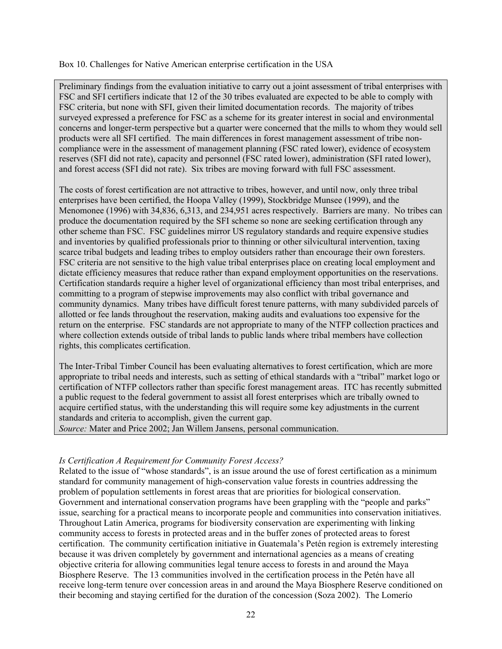<span id="page-28-0"></span>Box 10. Challenges for Native American enterprise certification in the USA

Preliminary findings from the evaluation initiative to carry out a joint assessment of tribal enterprises with FSC and SFI certifiers indicate that 12 of the 30 tribes evaluated are expected to be able to comply with FSC criteria, but none with SFI, given their limited documentation records. The majority of tribes surveyed expressed a preference for FSC as a scheme for its greater interest in social and environmental concerns and longer-term perspective but a quarter were concerned that the mills to whom they would sell products were all SFI certified. The main differences in forest management assessment of tribe noncompliance were in the assessment of management planning (FSC rated lower), evidence of ecosystem reserves (SFI did not rate), capacity and personnel (FSC rated lower), administration (SFI rated lower), and forest access (SFI did not rate). Six tribes are moving forward with full FSC assessment.

The costs of forest certification are not attractive to tribes, however, and until now, only three tribal enterprises have been certified, the Hoopa Valley (1999), Stockbridge Munsee (1999), and the Menomonee (1996) with 34,836, 6,313, and 234,951 acres respectively. Barriers are many. No tribes can produce the documentation required by the SFI scheme so none are seeking certification through any other scheme than FSC. FSC guidelines mirror US regulatory standards and require expensive studies and inventories by qualified professionals prior to thinning or other silvicultural intervention, taxing scarce tribal budgets and leading tribes to employ outsiders rather than encourage their own foresters. FSC criteria are not sensitive to the high value tribal enterprises place on creating local employment and dictate efficiency measures that reduce rather than expand employment opportunities on the reservations. Certification standards require a higher level of organizational efficiency than most tribal enterprises, and committing to a program of stepwise improvements may also conflict with tribal governance and community dynamics. Many tribes have difficult forest tenure patterns, with many subdivided parcels of allotted or fee lands throughout the reservation, making audits and evaluations too expensive for the return on the enterprise. FSC standards are not appropriate to many of the NTFP collection practices and where collection extends outside of tribal lands to public lands where tribal members have collection rights, this complicates certification.

The Inter-Tribal Timber Council has been evaluating alternatives to forest certification, which are more appropriate to tribal needs and interests, such as setting of ethical standards with a "tribal" market logo or certification of NTFP collectors rather than specific forest management areas. ITC has recently submitted a public request to the federal government to assist all forest enterprises which are tribally owned to acquire certified status, with the understanding this will require some key adjustments in the current standards and criteria to accomplish, given the current gap.

*Source:* Mater and Price 2002; Jan Willem Jansens, personal communication.

### *Is Certification A Requirement for Community Forest Access?*

Related to the issue of "whose standards", is an issue around the use of forest certification as a minimum standard for community management of high-conservation value forests in countries addressing the problem of population settlements in forest areas that are priorities for biological conservation. Government and international conservation programs have been grappling with the "people and parks" issue, searching for a practical means to incorporate people and communities into conservation initiatives. Throughout Latin America, programs for biodiversity conservation are experimenting with linking community access to forests in protected areas and in the buffer zones of protected areas to forest certification. The community certification initiative in Guatemala's Petén region is extremely interesting because it was driven completely by government and international agencies as a means of creating objective criteria for allowing communities legal tenure access to forests in and around the Maya Biosphere Reserve. The 13 communities involved in the certification process in the Petén have all receive long-term tenure over concession areas in and around the Maya Biosphere Reserve conditioned on their becoming and staying certified for the duration of the concession (Soza 2002). The Lomerío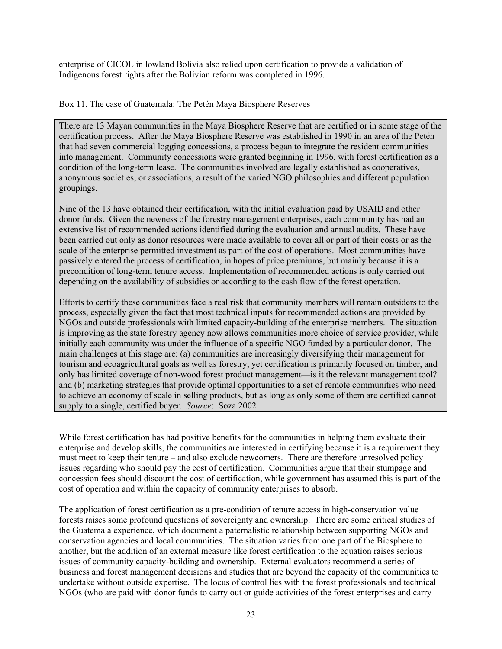enterprise of CICOL in lowland Bolivia also relied upon certification to provide a validation of Indigenous forest rights after the Bolivian reform was completed in 1996.

Box 11. The case of Guatemala: The Petén Maya Biosphere Reserves

There are 13 Mayan communities in the Maya Biosphere Reserve that are certified or in some stage of the certification process. After the Maya Biosphere Reserve was established in 1990 in an area of the Petén that had seven commercial logging concessions, a process began to integrate the resident communities into management. Community concessions were granted beginning in 1996, with forest certification as a condition of the long-term lease. The communities involved are legally established as cooperatives, anonymous societies, or associations, a result of the varied NGO philosophies and different population groupings.

Nine of the 13 have obtained their certification, with the initial evaluation paid by USAID and other donor funds. Given the newness of the forestry management enterprises, each community has had an extensive list of recommended actions identified during the evaluation and annual audits. These have been carried out only as donor resources were made available to cover all or part of their costs or as the scale of the enterprise permitted investment as part of the cost of operations. Most communities have passively entered the process of certification, in hopes of price premiums, but mainly because it is a precondition of long-term tenure access. Implementation of recommended actions is only carried out depending on the availability of subsidies or according to the cash flow of the forest operation.

Efforts to certify these communities face a real risk that community members will remain outsiders to the process, especially given the fact that most technical inputs for recommended actions are provided by NGOs and outside professionals with limited capacity-building of the enterprise members. The situation is improving as the state forestry agency now allows communities more choice of service provider, while initially each community was under the influence of a specific NGO funded by a particular donor. The main challenges at this stage are: (a) communities are increasingly diversifying their management for tourism and ecoagricultural goals as well as forestry, yet certification is primarily focused on timber, and only has limited coverage of non-wood forest product management—is it the relevant management tool? and (b) marketing strategies that provide optimal opportunities to a set of remote communities who need to achieve an economy of scale in selling products, but as long as only some of them are certified cannot supply to a single, certified buyer. *Source*: Soza 2002

While forest certification has had positive benefits for the communities in helping them evaluate their enterprise and develop skills, the communities are interested in certifying because it is a requirement they must meet to keep their tenure – and also exclude newcomers. There are therefore unresolved policy issues regarding who should pay the cost of certification. Communities argue that their stumpage and concession fees should discount the cost of certification, while government has assumed this is part of the cost of operation and within the capacity of community enterprises to absorb.

The application of forest certification as a pre-condition of tenure access in high-conservation value forests raises some profound questions of sovereignty and ownership. There are some critical studies of the Guatemala experience, which document a paternalistic relationship between supporting NGOs and conservation agencies and local communities. The situation varies from one part of the Biosphere to another, but the addition of an external measure like forest certification to the equation raises serious issues of community capacity-building and ownership. External evaluators recommend a series of business and forest management decisions and studies that are beyond the capacity of the communities to undertake without outside expertise. The locus of control lies with the forest professionals and technical NGOs (who are paid with donor funds to carry out or guide activities of the forest enterprises and carry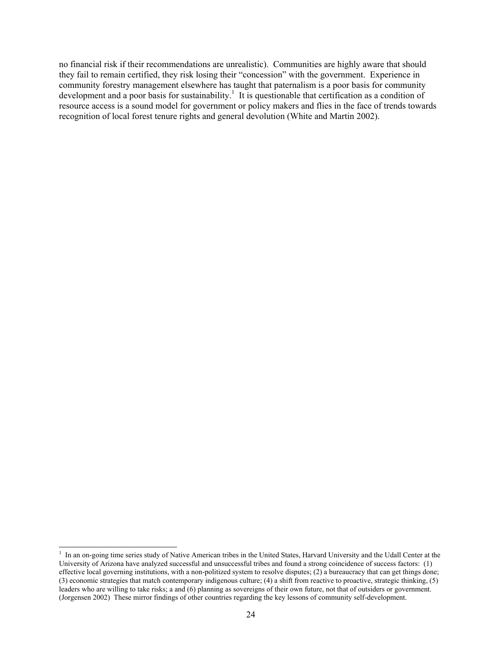no financial risk if their recommendations are unrealistic). Communities are highly aware that should they fail to remain certified, they risk losing their "concession" with the government. Experience in community forestry management elsewhere has taught that paternalism is a poor basis for community developmentand a poor basis for sustainability.<sup>1</sup> It is questionable that certification as a condition of resource access is a sound model for government or policy makers and flies in the face of trends towards recognition of local forest tenure rights and general devolution (White and Martin 2002).

<span id="page-30-0"></span> $\frac{1}{1}$ <sup>1</sup> In an on-going time series study of Native American tribes in the United States, Harvard University and the Udall Center at the University of Arizona have analyzed successful and unsuccessful tribes and found a strong coincidence of success factors: (1) effective local governing institutions, with a non-politized system to resolve disputes; (2) a bureaucracy that can get things done; (3) economic strategies that match contemporary indigenous culture; (4) a shift from reactive to proactive, strategic thinking, (5) leaders who are willing to take risks; a and (6) planning as sovereigns of their own future, not that of outsiders or government. (Jorgensen 2002) These mirror findings of other countries regarding the key lessons of community self-development.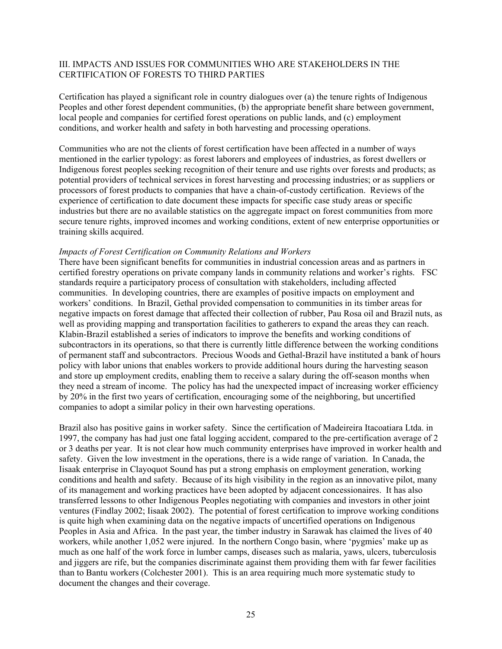### <span id="page-31-0"></span>III. IMPACTS AND ISSUES FOR COMMUNITIES WHO ARE STAKEHOLDERS IN THE CERTIFICATION OF FORESTS TO THIRD PARTIES

Certification has played a significant role in country dialogues over (a) the tenure rights of Indigenous Peoples and other forest dependent communities, (b) the appropriate benefit share between government, local people and companies for certified forest operations on public lands, and (c) employment conditions, and worker health and safety in both harvesting and processing operations.

Communities who are not the clients of forest certification have been affected in a number of ways mentioned in the earlier typology: as forest laborers and employees of industries, as forest dwellers or Indigenous forest peoples seeking recognition of their tenure and use rights over forests and products; as potential providers of technical services in forest harvesting and processing industries; or as suppliers or processors of forest products to companies that have a chain-of-custody certification. Reviews of the experience of certification to date document these impacts for specific case study areas or specific industries but there are no available statistics on the aggregate impact on forest communities from more secure tenure rights, improved incomes and working conditions, extent of new enterprise opportunities or training skills acquired.

#### *Impacts of Forest Certification on Community Relations and Workers*

There have been significant benefits for communities in industrial concession areas and as partners in certified forestry operations on private company lands in community relations and worker's rights. FSC standards require a participatory process of consultation with stakeholders, including affected communities. In developing countries, there are examples of positive impacts on employment and workers' conditions. In Brazil, Gethal provided compensation to communities in its timber areas for negative impacts on forest damage that affected their collection of rubber, Pau Rosa oil and Brazil nuts, as well as providing mapping and transportation facilities to gatherers to expand the areas they can reach. Klabin-Brazil established a series of indicators to improve the benefits and working conditions of subcontractors in its operations, so that there is currently little difference between the working conditions of permanent staff and subcontractors. Precious Woods and Gethal-Brazil have instituted a bank of hours policy with labor unions that enables workers to provide additional hours during the harvesting season and store up employment credits, enabling them to receive a salary during the off-season months when they need a stream of income. The policy has had the unexpected impact of increasing worker efficiency by 20% in the first two years of certification, encouraging some of the neighboring, but uncertified companies to adopt a similar policy in their own harvesting operations.

Brazil also has positive gains in worker safety. Since the certification of Madeireira Itacoatiara Ltda. in 1997, the company has had just one fatal logging accident, compared to the pre-certification average of 2 or 3 deaths per year. It is not clear how much community enterprises have improved in worker health and safety. Given the low investment in the operations, there is a wide range of variation. In Canada, the Iisaak enterprise in Clayoquot Sound has put a strong emphasis on employment generation, working conditions and health and safety. Because of its high visibility in the region as an innovative pilot, many of its management and working practices have been adopted by adjacent concessionaires. It has also transferred lessons to other Indigenous Peoples negotiating with companies and investors in other joint ventures (Findlay 2002; Iisaak 2002). The potential of forest certification to improve working conditions is quite high when examining data on the negative impacts of uncertified operations on Indigenous Peoples in Asia and Africa. In the past year, the timber industry in Sarawak has claimed the lives of 40 workers, while another 1,052 were injured. In the northern Congo basin, where 'pygmies' make up as much as one half of the work force in lumber camps, diseases such as malaria, yaws, ulcers, tuberculosis and jiggers are rife, but the companies discriminate against them providing them with far fewer facilities than to Bantu workers (Colchester 2001). This is an area requiring much more systematic study to document the changes and their coverage.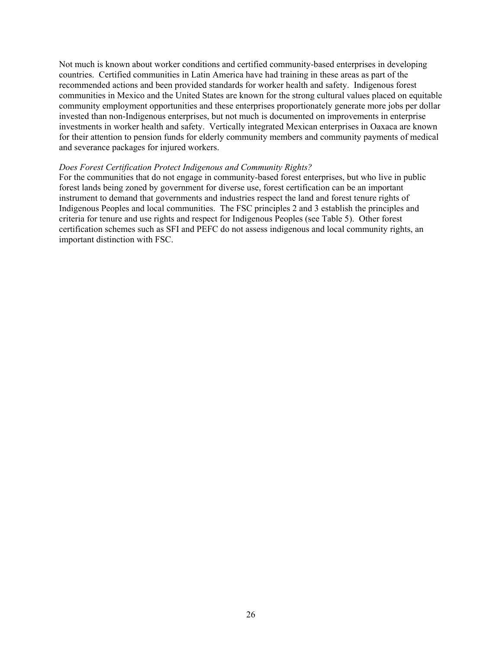<span id="page-32-0"></span>Not much is known about worker conditions and certified community-based enterprises in developing countries. Certified communities in Latin America have had training in these areas as part of the recommended actions and been provided standards for worker health and safety. Indigenous forest communities in Mexico and the United States are known for the strong cultural values placed on equitable community employment opportunities and these enterprises proportionately generate more jobs per dollar invested than non-Indigenous enterprises, but not much is documented on improvements in enterprise investments in worker health and safety. Vertically integrated Mexican enterprises in Oaxaca are known for their attention to pension funds for elderly community members and community payments of medical and severance packages for injured workers.

#### *Does Forest Certification Protect Indigenous and Community Rights?*

For the communities that do not engage in community-based forest enterprises, but who live in public forest lands being zoned by government for diverse use, forest certification can be an important instrument to demand that governments and industries respect the land and forest tenure rights of Indigenous Peoples and local communities. The FSC principles 2 and 3 establish the principles and criteria for tenure and use rights and respect for Indigenous Peoples (see Table 5). Other forest certification schemes such as SFI and PEFC do not assess indigenous and local community rights, an important distinction with FSC.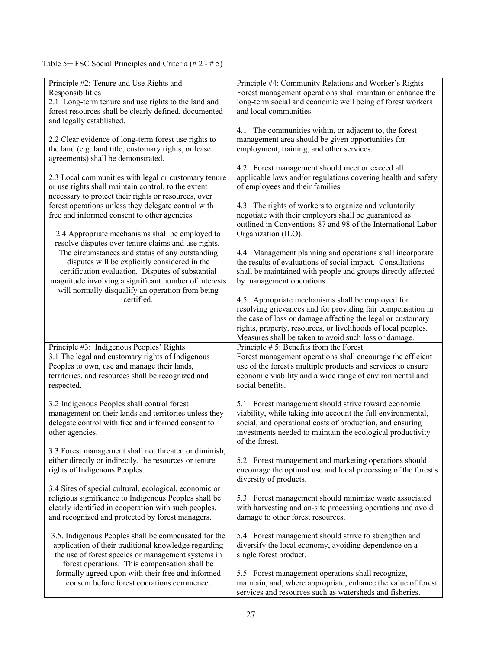Table 5— FSC Social Principles and Criteria (# 2 - # 5)

| Principle #2: Tenure and Use Rights and                                                                | Principle #4: Community Relations and Worker's Rights                                                              |
|--------------------------------------------------------------------------------------------------------|--------------------------------------------------------------------------------------------------------------------|
| Responsibilities                                                                                       | Forest management operations shall maintain or enhance the                                                         |
| 2.1 Long-term tenure and use rights to the land and                                                    | long-term social and economic well being of forest workers                                                         |
| forest resources shall be clearly defined, documented                                                  | and local communities.                                                                                             |
| and legally established.                                                                               |                                                                                                                    |
|                                                                                                        | 4.1 The communities within, or adjacent to, the forest                                                             |
| 2.2 Clear evidence of long-term forest use rights to                                                   | management area should be given opportunities for                                                                  |
| the land (e.g. land title, customary rights, or lease                                                  | employment, training, and other services.                                                                          |
| agreements) shall be demonstrated.                                                                     |                                                                                                                    |
|                                                                                                        | 4.2 Forest management should meet or exceed all                                                                    |
| 2.3 Local communities with legal or customary tenure                                                   | applicable laws and/or regulations covering health and safety                                                      |
| or use rights shall maintain control, to the extent                                                    | of employees and their families.                                                                                   |
| necessary to protect their rights or resources, over                                                   |                                                                                                                    |
| forest operations unless they delegate control with                                                    | 4.3 The rights of workers to organize and voluntarily                                                              |
| free and informed consent to other agencies.                                                           | negotiate with their employers shall be guaranteed as                                                              |
|                                                                                                        | outlined in Conventions 87 and 98 of the International Labor                                                       |
|                                                                                                        | Organization (ILO).                                                                                                |
| 2.4 Appropriate mechanisms shall be employed to<br>resolve disputes over tenure claims and use rights. |                                                                                                                    |
| The circumstances and status of any outstanding                                                        | 4.4 Management planning and operations shall incorporate                                                           |
| disputes will be explicitly considered in the                                                          | the results of evaluations of social impact. Consultations                                                         |
| certification evaluation. Disputes of substantial                                                      | shall be maintained with people and groups directly affected                                                       |
| magnitude involving a significant number of interests                                                  | by management operations.                                                                                          |
| will normally disqualify an operation from being                                                       |                                                                                                                    |
| certified.                                                                                             | 4.5 Appropriate mechanisms shall be employed for                                                                   |
|                                                                                                        | resolving grievances and for providing fair compensation in                                                        |
|                                                                                                        | the case of loss or damage affecting the legal or customary                                                        |
|                                                                                                        | rights, property, resources, or livelihoods of local peoples.                                                      |
|                                                                                                        | Measures shall be taken to avoid such loss or damage.                                                              |
| Principle #3: Indigenous Peoples' Rights                                                               | Principle $# 5$ : Benefits from the Forest                                                                         |
| 3.1 The legal and customary rights of Indigenous                                                       | Forest management operations shall encourage the efficient                                                         |
|                                                                                                        |                                                                                                                    |
|                                                                                                        |                                                                                                                    |
| Peoples to own, use and manage their lands,                                                            | use of the forest's multiple products and services to ensure                                                       |
| territories, and resources shall be recognized and                                                     | economic viability and a wide range of environmental and                                                           |
| respected.                                                                                             | social benefits.                                                                                                   |
|                                                                                                        |                                                                                                                    |
| 3.2 Indigenous Peoples shall control forest                                                            | 5.1 Forest management should strive toward economic                                                                |
| management on their lands and territories unless they                                                  | viability, while taking into account the full environmental,                                                       |
| delegate control with free and informed consent to                                                     | social, and operational costs of production, and ensuring                                                          |
| other agencies.                                                                                        | investments needed to maintain the ecological productivity                                                         |
|                                                                                                        | of the forest.                                                                                                     |
| 3.3 Forest management shall not threaten or diminish,                                                  |                                                                                                                    |
| either directly or indirectly, the resources or tenure                                                 | 5.2 Forest management and marketing operations should                                                              |
| rights of Indigenous Peoples.                                                                          | encourage the optimal use and local processing of the forest's                                                     |
|                                                                                                        | diversity of products.                                                                                             |
| 3.4 Sites of special cultural, ecological, economic or                                                 |                                                                                                                    |
| religious significance to Indigenous Peoples shall be                                                  | 5.3 Forest management should minimize waste associated                                                             |
| clearly identified in cooperation with such peoples,                                                   | with harvesting and on-site processing operations and avoid                                                        |
| and recognized and protected by forest managers.                                                       | damage to other forest resources.                                                                                  |
|                                                                                                        |                                                                                                                    |
| 3.5. Indigenous Peoples shall be compensated for the                                                   | 5.4 Forest management should strive to strengthen and                                                              |
| application of their traditional knowledge regarding                                                   | diversify the local economy, avoiding dependence on a                                                              |
| the use of forest species or management systems in                                                     | single forest product.                                                                                             |
| forest operations. This compensation shall be                                                          |                                                                                                                    |
| formally agreed upon with their free and informed<br>consent before forest operations commence.        | 5.5 Forest management operations shall recognize,<br>maintain, and, where appropriate, enhance the value of forest |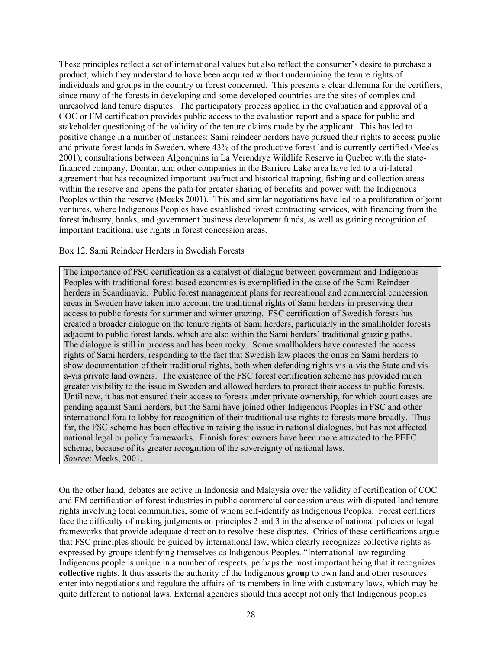These principles reflect a set of international values but also reflect the consumer's desire to purchase a product, which they understand to have been acquired without undermining the tenure rights of individuals and groups in the country or forest concerned. This presents a clear dilemma for the certifiers, since many of the forests in developing and some developed countries are the sites of complex and unresolved land tenure disputes. The participatory process applied in the evaluation and approval of a COC or FM certification provides public access to the evaluation report and a space for public and stakeholder questioning of the validity of the tenure claims made by the applicant. This has led to positive change in a number of instances: Sami reindeer herders have pursued their rights to access public and private forest lands in Sweden, where 43% of the productive forest land is currently certified (Meeks 2001); consultations between Algonquins in La Verendrye Wildlife Reserve in Quebec with the statefinanced company, Domtar, and other companies in the Barriere Lake area have led to a tri-lateral agreement that has recognized important usufruct and historical trapping, fishing and collection areas within the reserve and opens the path for greater sharing of benefits and power with the Indigenous Peoples within the reserve (Meeks 2001). This and similar negotiations have led to a proliferation of joint ventures, where Indigenous Peoples have established forest contracting services, with financing from the forest industry, banks, and government business development funds, as well as gaining recognition of important traditional use rights in forest concession areas.

Box 12. Sami Reindeer Herders in Swedish Forests

The importance of FSC certification as a catalyst of dialogue between government and Indigenous Peoples with traditional forest-based economies is exemplified in the case of the Sami Reindeer herders in Scandinavia. Public forest management plans for recreational and commercial concession areas in Sweden have taken into account the traditional rights of Sami herders in preserving their access to public forests for summer and winter grazing. FSC certification of Swedish forests has created a broader dialogue on the tenure rights of Sami herders, particularly in the smallholder forests adjacent to public forest lands, which are also within the Sami herders' traditional grazing paths. The dialogue is still in process and has been rocky. Some smallholders have contested the access rights of Sami herders, responding to the fact that Swedish law places the onus on Sami herders to show documentation of their traditional rights, both when defending rights vis-a-vis the State and visa-vis private land owners. The existence of the FSC forest certification scheme has provided much greater visibility to the issue in Sweden and allowed herders to protect their access to public forests. Until now, it has not ensured their access to forests under private ownership, for which court cases are pending against Sami herders, but the Sami have joined other Indigenous Peoples in FSC and other international fora to lobby for recognition of their traditional use rights to forests more broadly. Thus far, the FSC scheme has been effective in raising the issue in national dialogues, but has not affected national legal or policy frameworks. Finnish forest owners have been more attracted to the PEFC scheme, because of its greater recognition of the sovereignty of national laws. *Source*: Meeks, 2001.

On the other hand, debates are active in Indonesia and Malaysia over the validity of certification of COC and FM certification of forest industries in public commercial concession areas with disputed land tenure rights involving local communities, some of whom self-identify as Indigenous Peoples. Forest certifiers face the difficulty of making judgments on principles 2 and 3 in the absence of national policies or legal frameworks that provide adequate direction to resolve these disputes. Critics of these certifications argue that FSC principles should be guided by international law, which clearly recognizes collective rights as expressed by groups identifying themselves as Indigenous Peoples. "International law regarding Indigenous people is unique in a number of respects, perhaps the most important being that it recognizes **collective** rights. It thus asserts the authority of the Indigenous **group** to own land and other resources enter into negotiations and regulate the affairs of its members in line with customary laws, which may be quite different to national laws. External agencies should thus accept not only that Indigenous peoples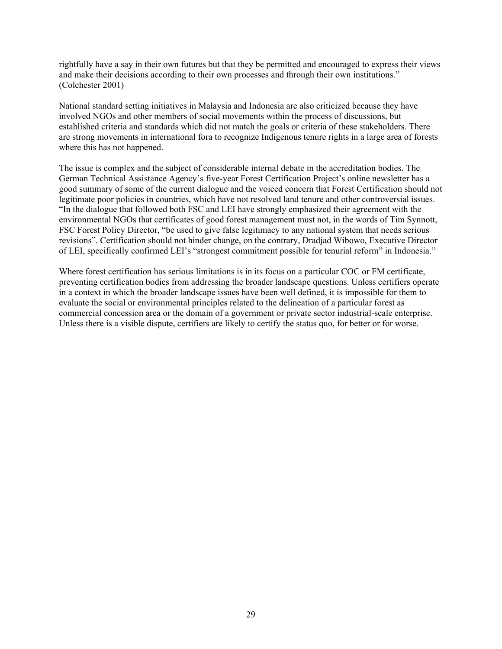rightfully have a say in their own futures but that they be permitted and encouraged to express their views and make their decisions according to their own processes and through their own institutions." (Colchester 2001)

National standard setting initiatives in Malaysia and Indonesia are also criticized because they have involved NGOs and other members of social movements within the process of discussions, but established criteria and standards which did not match the goals or criteria of these stakeholders. There are strong movements in international fora to recognize Indigenous tenure rights in a large area of forests where this has not happened.

The issue is complex and the subject of considerable internal debate in the accreditation bodies. The German Technical Assistance Agency's five-year Forest Certification Project's online newsletter has a good summary of some of the current dialogue and the voiced concern that Forest Certification should not legitimate poor policies in countries, which have not resolved land tenure and other controversial issues. "In the dialogue that followed both FSC and LEI have strongly emphasized their agreement with the environmental NGOs that certificates of good forest management must not, in the words of Tim Synnott, FSC Forest Policy Director, "be used to give false legitimacy to any national system that needs serious revisions". Certification should not hinder change, on the contrary, Dradjad Wibowo, Executive Director of LEI, specifically confirmed LEI's "strongest commitment possible for tenurial reform" in Indonesia."

Where forest certification has serious limitations is in its focus on a particular COC or FM certificate, preventing certification bodies from addressing the broader landscape questions. Unless certifiers operate in a context in which the broader landscape issues have been well defined, it is impossible for them to evaluate the social or environmental principles related to the delineation of a particular forest as commercial concession area or the domain of a government or private sector industrial-scale enterprise. Unless there is a visible dispute, certifiers are likely to certify the status quo, for better or for worse.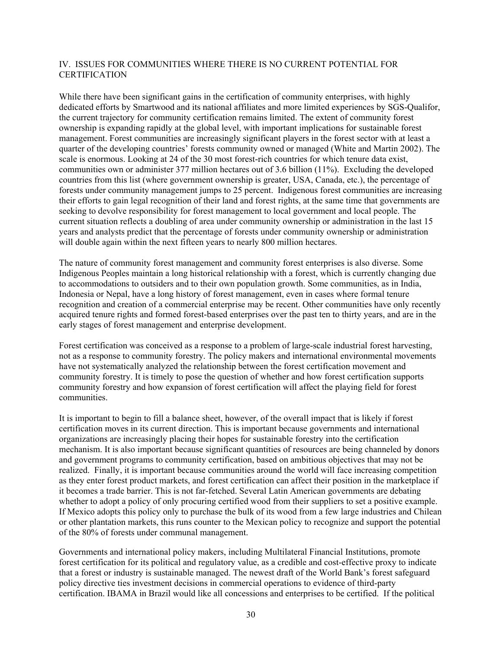### <span id="page-36-0"></span>IV. ISSUES FOR COMMUNITIES WHERE THERE IS NO CURRENT POTENTIAL FOR **CERTIFICATION**

While there have been significant gains in the certification of community enterprises, with highly dedicated efforts by Smartwood and its national affiliates and more limited experiences by SGS-Qualifor, the current trajectory for community certification remains limited. The extent of community forest ownership is expanding rapidly at the global level, with important implications for sustainable forest management. Forest communities are increasingly significant players in the forest sector with at least a quarter of the developing countries' forests community owned or managed (White and Martin 2002). The scale is enormous. Looking at 24 of the 30 most forest-rich countries for which tenure data exist, communities own or administer 377 million hectares out of 3.6 billion (11%). Excluding the developed countries from this list (where government ownership is greater, USA, Canada, etc.), the percentage of forests under community management jumps to 25 percent. Indigenous forest communities are increasing their efforts to gain legal recognition of their land and forest rights, at the same time that governments are seeking to devolve responsibility for forest management to local government and local people. The current situation reflects a doubling of area under community ownership or administration in the last 15 years and analysts predict that the percentage of forests under community ownership or administration will double again within the next fifteen years to nearly 800 million hectares.

The nature of community forest management and community forest enterprises is also diverse. Some Indigenous Peoples maintain a long historical relationship with a forest, which is currently changing due to accommodations to outsiders and to their own population growth. Some communities, as in India, Indonesia or Nepal, have a long history of forest management, even in cases where formal tenure recognition and creation of a commercial enterprise may be recent. Other communities have only recently acquired tenure rights and formed forest-based enterprises over the past ten to thirty years, and are in the early stages of forest management and enterprise development.

Forest certification was conceived as a response to a problem of large-scale industrial forest harvesting, not as a response to community forestry. The policy makers and international environmental movements have not systematically analyzed the relationship between the forest certification movement and community forestry. It is timely to pose the question of whether and how forest certification supports community forestry and how expansion of forest certification will affect the playing field for forest communities.

It is important to begin to fill a balance sheet, however, of the overall impact that is likely if forest certification moves in its current direction. This is important because governments and international organizations are increasingly placing their hopes for sustainable forestry into the certification mechanism. It is also important because significant quantities of resources are being channeled by donors and government programs to community certification, based on ambitious objectives that may not be realized. Finally, it is important because communities around the world will face increasing competition as they enter forest product markets, and forest certification can affect their position in the marketplace if it becomes a trade barrier. This is not far-fetched. Several Latin American governments are debating whether to adopt a policy of only procuring certified wood from their suppliers to set a positive example. If Mexico adopts this policy only to purchase the bulk of its wood from a few large industries and Chilean or other plantation markets, this runs counter to the Mexican policy to recognize and support the potential of the 80% of forests under communal management.

Governments and international policy makers, including Multilateral Financial Institutions, promote forest certification for its political and regulatory value, as a credible and cost-effective proxy to indicate that a forest or industry is sustainable managed. The newest draft of the World Bank's forest safeguard policy directive ties investment decisions in commercial operations to evidence of third-party certification. IBAMA in Brazil would like all concessions and enterprises to be certified. If the political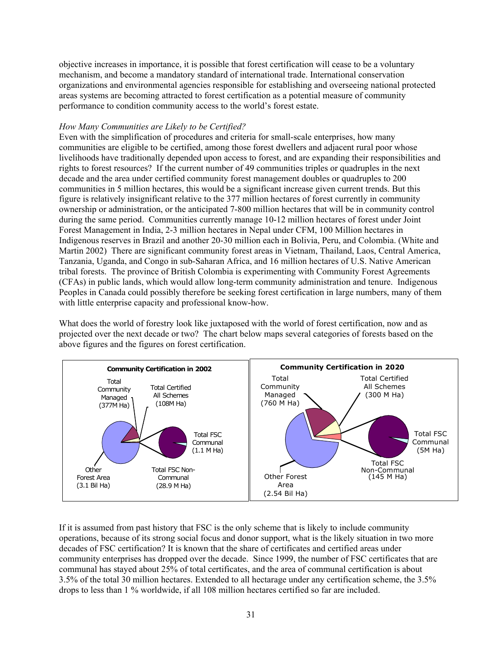<span id="page-37-0"></span>objective increases in importance, it is possible that forest certification will cease to be a voluntary mechanism, and become a mandatory standard of international trade. International conservation organizations and environmental agencies responsible for establishing and overseeing national protected areas systems are becoming attracted to forest certification as a potential measure of community performance to condition community access to the world's forest estate.

### *How Many Communities are Likely to be Certified?*

Even with the simplification of procedures and criteria for small-scale enterprises, how many communities are eligible to be certified, among those forest dwellers and adjacent rural poor whose livelihoods have traditionally depended upon access to forest, and are expanding their responsibilities and rights to forest resources? If the current number of 49 communities triples or quadruples in the next decade and the area under certified community forest management doubles or quadruples to 200 communities in 5 million hectares, this would be a significant increase given current trends. But this figure is relatively insignificant relative to the 377 million hectares of forest currently in community ownership or administration, or the anticipated 7-800 million hectares that will be in community control during the same period. Communities currently manage 10-12 million hectares of forest under Joint Forest Management in India, 2-3 million hectares in Nepal under CFM, 100 Million hectares in Indigenous reserves in Brazil and another 20-30 million each in Bolivia, Peru, and Colombia. (White and Martin 2002) There are significant community forest areas in Vietnam, Thailand, Laos, Central America, Tanzania, Uganda, and Congo in sub-Saharan Africa, and 16 million hectares of U.S. Native American tribal forests. The province of British Colombia is experimenting with Community Forest Agreements (CFAs) in public lands, which would allow long-term community administration and tenure. Indigenous Peoples in Canada could possibly therefore be seeking forest certification in large numbers, many of them with little enterprise capacity and professional know-how.

What does the world of forestry look like juxtaposed with the world of forest certification, now and as projected over the next decade or two? The chart below maps several categories of forests based on the above figures and the figures on forest certification.



If it is assumed from past history that FSC is the only scheme that is likely to include community operations, because of its strong social focus and donor support, what is the likely situation in two more decades of FSC certification? It is known that the share of certificates and certified areas under community enterprises has dropped over the decade. Since 1999, the number of FSC certificates that are communal has stayed about 25% of total certificates, and the area of communal certification is about 3.5% of the total 30 million hectares. Extended to all hectarage under any certification scheme, the 3.5% drops to less than 1 % worldwide, if all 108 million hectares certified so far are included.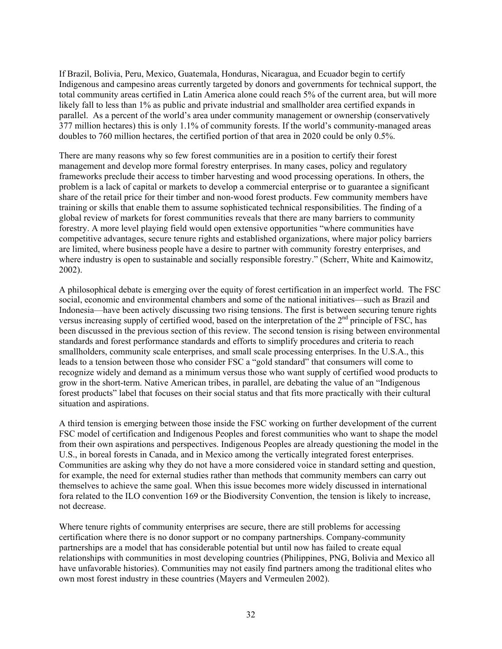If Brazil, Bolivia, Peru, Mexico, Guatemala, Honduras, Nicaragua, and Ecuador begin to certify Indigenous and campesino areas currently targeted by donors and governments for technical support, the total community areas certified in Latin America alone could reach 5% of the current area, but will more likely fall to less than 1% as public and private industrial and smallholder area certified expands in parallel. As a percent of the world's area under community management or ownership (conservatively 377 million hectares) this is only 1.1% of community forests. If the world's community-managed areas doubles to 760 million hectares, the certified portion of that area in 2020 could be only 0.5%.

There are many reasons why so few forest communities are in a position to certify their forest management and develop more formal forestry enterprises. In many cases, policy and regulatory frameworks preclude their access to timber harvesting and wood processing operations. In others, the problem is a lack of capital or markets to develop a commercial enterprise or to guarantee a significant share of the retail price for their timber and non-wood forest products. Few community members have training or skills that enable them to assume sophisticated technical responsibilities. The finding of a global review of markets for forest communities reveals that there are many barriers to community forestry. A more level playing field would open extensive opportunities "where communities have competitive advantages, secure tenure rights and established organizations, where major policy barriers are limited, where business people have a desire to partner with community forestry enterprises, and where industry is open to sustainable and socially responsible forestry." (Scherr, White and Kaimowitz, 2002).

A philosophical debate is emerging over the equity of forest certification in an imperfect world. The FSC social, economic and environmental chambers and some of the national initiatives—such as Brazil and Indonesia—have been actively discussing two rising tensions. The first is between securing tenure rights versus increasing supply of certified wood, based on the interpretation of the 2<sup>nd</sup> principle of FSC, has been discussed in the previous section of this review. The second tension is rising between environmental standards and forest performance standards and efforts to simplify procedures and criteria to reach smallholders, community scale enterprises, and small scale processing enterprises. In the U.S.A., this leads to a tension between those who consider FSC a "gold standard" that consumers will come to recognize widely and demand as a minimum versus those who want supply of certified wood products to grow in the short-term. Native American tribes, in parallel, are debating the value of an "Indigenous forest products" label that focuses on their social status and that fits more practically with their cultural situation and aspirations.

A third tension is emerging between those inside the FSC working on further development of the current FSC model of certification and Indigenous Peoples and forest communities who want to shape the model from their own aspirations and perspectives. Indigenous Peoples are already questioning the model in the U.S., in boreal forests in Canada, and in Mexico among the vertically integrated forest enterprises. Communities are asking why they do not have a more considered voice in standard setting and question, for example, the need for external studies rather than methods that community members can carry out themselves to achieve the same goal. When this issue becomes more widely discussed in international fora related to the ILO convention 169 or the Biodiversity Convention, the tension is likely to increase, not decrease.

Where tenure rights of community enterprises are secure, there are still problems for accessing certification where there is no donor support or no company partnerships. Company-community partnerships are a model that has considerable potential but until now has failed to create equal relationships with communities in most developing countries (Philippines, PNG, Bolivia and Mexico all have unfavorable histories). Communities may not easily find partners among the traditional elites who own most forest industry in these countries (Mayers and Vermeulen 2002).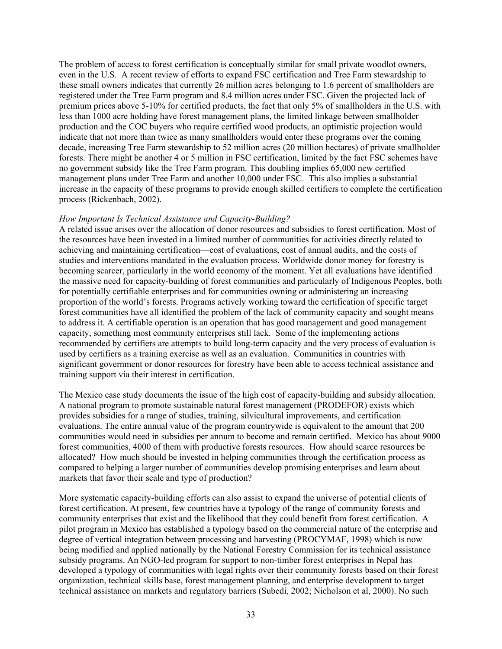<span id="page-39-0"></span>The problem of access to forest certification is conceptually similar for small private woodlot owners, even in the U.S. A recent review of efforts to expand FSC certification and Tree Farm stewardship to these small owners indicates that currently 26 million acres belonging to 1.6 percent of smallholders are registered under the Tree Farm program and 8.4 million acres under FSC. Given the projected lack of premium prices above 5-10% for certified products, the fact that only 5% of smallholders in the U.S. with less than 1000 acre holding have forest management plans, the limited linkage between smallholder production and the COC buyers who require certified wood products, an optimistic projection would indicate that not more than twice as many smallholders would enter these programs over the coming decade, increasing Tree Farm stewardship to 52 million acres (20 million hectares) of private smallholder forests. There might be another 4 or 5 million in FSC certification, limited by the fact FSC schemes have no government subsidy like the Tree Farm program. This doubling implies 65,000 new certified management plans under Tree Farm and another 10,000 under FSC. This also implies a substantial increase in the capacity of these programs to provide enough skilled certifiers to complete the certification process (Rickenbach, 2002).

#### *How Important Is Technical Assistance and Capacity-Building?*

A related issue arises over the allocation of donor resources and subsidies to forest certification. Most of the resources have been invested in a limited number of communities for activities directly related to achieving and maintaining certification—cost of evaluations, cost of annual audits, and the costs of studies and interventions mandated in the evaluation process. Worldwide donor money for forestry is becoming scarcer, particularly in the world economy of the moment. Yet all evaluations have identified the massive need for capacity-building of forest communities and particularly of Indigenous Peoples, both for potentially certifiable enterprises and for communities owning or administering an increasing proportion of the world's forests. Programs actively working toward the certification of specific target forest communities have all identified the problem of the lack of community capacity and sought means to address it. A certifiable operation is an operation that has good management and good management capacity, something most community enterprises still lack. Some of the implementing actions recommended by certifiers are attempts to build long-term capacity and the very process of evaluation is used by certifiers as a training exercise as well as an evaluation. Communities in countries with significant government or donor resources for forestry have been able to access technical assistance and training support via their interest in certification.

The Mexico case study documents the issue of the high cost of capacity-building and subsidy allocation. A national program to promote sustainable natural forest management (PRODEFOR) exists which provides subsidies for a range of studies, training, silvicultural improvements, and certification evaluations. The entire annual value of the program countrywide is equivalent to the amount that 200 communities would need in subsidies per annum to become and remain certified. Mexico has about 9000 forest communities, 4000 of them with productive forests resources. How should scarce resources be allocated? How much should be invested in helping communities through the certification process as compared to helping a larger number of communities develop promising enterprises and learn about markets that favor their scale and type of production?

More systematic capacity-building efforts can also assist to expand the universe of potential clients of forest certification. At present, few countries have a typology of the range of community forests and community enterprises that exist and the likelihood that they could benefit from forest certification. A pilot program in Mexico has established a typology based on the commercial nature of the enterprise and degree of vertical integration between processing and harvesting (PROCYMAF, 1998) which is now being modified and applied nationally by the National Forestry Commission for its technical assistance subsidy programs. An NGO-led program for support to non-timber forest enterprises in Nepal has developed a typology of communities with legal rights over their community forests based on their forest organization, technical skills base, forest management planning, and enterprise development to target technical assistance on markets and regulatory barriers (Subedi, 2002; Nicholson et al, 2000). No such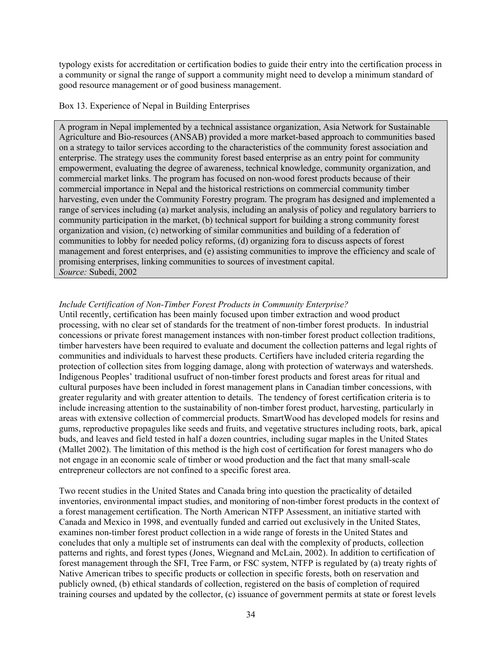<span id="page-40-0"></span>typology exists for accreditation or certification bodies to guide their entry into the certification process in a community or signal the range of support a community might need to develop a minimum standard of good resource management or of good business management.

### Box 13. Experience of Nepal in Building Enterprises

A program in Nepal implemented by a technical assistance organization, Asia Network for Sustainable Agriculture and Bio-resources (ANSAB) provided a more market-based approach to communities based on a strategy to tailor services according to the characteristics of the community forest association and enterprise. The strategy uses the community forest based enterprise as an entry point for community empowerment, evaluating the degree of awareness, technical knowledge, community organization, and commercial market links. The program has focused on non-wood forest products because of their commercial importance in Nepal and the historical restrictions on commercial community timber harvesting, even under the Community Forestry program. The program has designed and implemented a range of services including (a) market analysis, including an analysis of policy and regulatory barriers to community participation in the market, (b) technical support for building a strong community forest organization and vision, (c) networking of similar communities and building of a federation of communities to lobby for needed policy reforms, (d) organizing fora to discuss aspects of forest management and forest enterprises, and (e) assisting communities to improve the efficiency and scale of promising enterprises, linking communities to sources of investment capital. *Source:* Subedi, 2002

# *Include Certification of Non-Timber Forest Products in Community Enterprise?*

Until recently, certification has been mainly focused upon timber extraction and wood product processing, with no clear set of standards for the treatment of non-timber forest products. In industrial concessions or private forest management instances with non-timber forest product collection traditions, timber harvesters have been required to evaluate and document the collection patterns and legal rights of communities and individuals to harvest these products. Certifiers have included criteria regarding the protection of collection sites from logging damage, along with protection of waterways and watersheds. Indigenous Peoples' traditional usufruct of non-timber forest products and forest areas for ritual and cultural purposes have been included in forest management plans in Canadian timber concessions, with greater regularity and with greater attention to details. The tendency of forest certification criteria is to include increasing attention to the sustainability of non-timber forest product, harvesting, particularly in areas with extensive collection of commercial products. SmartWood has developed models for resins and gums, reproductive propagules like seeds and fruits, and vegetative structures including roots, bark, apical buds, and leaves and field tested in half a dozen countries, including sugar maples in the United States (Mallet 2002). The limitation of this method is the high cost of certification for forest managers who do not engage in an economic scale of timber or wood production and the fact that many small-scale entrepreneur collectors are not confined to a specific forest area.

Two recent studies in the United States and Canada bring into question the practicality of detailed inventories, environmental impact studies, and monitoring of non-timber forest products in the context of a forest management certification. The North American NTFP Assessment, an initiative started with Canada and Mexico in 1998, and eventually funded and carried out exclusively in the United States, examines non-timber forest product collection in a wide range of forests in the United States and concludes that only a multiple set of instruments can deal with the complexity of products, collection patterns and rights, and forest types (Jones, Wiegnand and McLain, 2002). In addition to certification of forest management through the SFI, Tree Farm, or FSC system, NTFP is regulated by (a) treaty rights of Native American tribes to specific products or collection in specific forests, both on reservation and publicly owned, (b) ethical standards of collection, registered on the basis of completion of required training courses and updated by the collector, (c) issuance of government permits at state or forest levels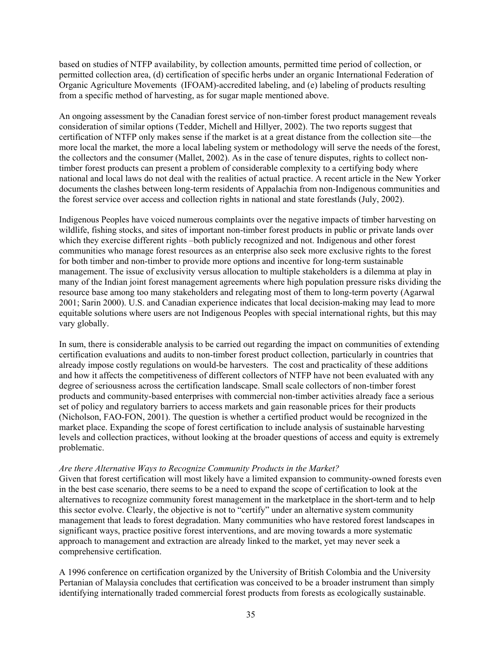<span id="page-41-0"></span>based on studies of NTFP availability, by collection amounts, permitted time period of collection, or permitted collection area, (d) certification of specific herbs under an organic International Federation of Organic Agriculture Movements (IFOAM)-accredited labeling, and (e) labeling of products resulting from a specific method of harvesting, as for sugar maple mentioned above.

An ongoing assessment by the Canadian forest service of non-timber forest product management reveals consideration of similar options (Tedder, Michell and Hillyer, 2002). The two reports suggest that certification of NTFP only makes sense if the market is at a great distance from the collection site—the more local the market, the more a local labeling system or methodology will serve the needs of the forest, the collectors and the consumer (Mallet, 2002). As in the case of tenure disputes, rights to collect nontimber forest products can present a problem of considerable complexity to a certifying body where national and local laws do not deal with the realities of actual practice. A recent article in the New Yorker documents the clashes between long-term residents of Appalachia from non-Indigenous communities and the forest service over access and collection rights in national and state forestlands (July, 2002).

Indigenous Peoples have voiced numerous complaints over the negative impacts of timber harvesting on wildlife, fishing stocks, and sites of important non-timber forest products in public or private lands over which they exercise different rights –both publicly recognized and not. Indigenous and other forest communities who manage forest resources as an enterprise also seek more exclusive rights to the forest for both timber and non-timber to provide more options and incentive for long-term sustainable management. The issue of exclusivity versus allocation to multiple stakeholders is a dilemma at play in many of the Indian joint forest management agreements where high population pressure risks dividing the resource base among too many stakeholders and relegating most of them to long-term poverty (Agarwal 2001; Sarin 2000). U.S. and Canadian experience indicates that local decision-making may lead to more equitable solutions where users are not Indigenous Peoples with special international rights, but this may vary globally.

In sum, there is considerable analysis to be carried out regarding the impact on communities of extending certification evaluations and audits to non-timber forest product collection, particularly in countries that already impose costly regulations on would-be harvesters. The cost and practicality of these additions and how it affects the competitiveness of different collectors of NTFP have not been evaluated with any degree of seriousness across the certification landscape. Small scale collectors of non-timber forest products and community-based enterprises with commercial non-timber activities already face a serious set of policy and regulatory barriers to access markets and gain reasonable prices for their products (Nicholson, FAO-FON, 2001). The question is whether a certified product would be recognized in the market place. Expanding the scope of forest certification to include analysis of sustainable harvesting levels and collection practices, without looking at the broader questions of access and equity is extremely problematic.

#### *Are there Alternative Ways to Recognize Community Products in the Market?*

Given that forest certification will most likely have a limited expansion to community-owned forests even in the best case scenario, there seems to be a need to expand the scope of certification to look at the alternatives to recognize community forest management in the marketplace in the short-term and to help this sector evolve. Clearly, the objective is not to "certify" under an alternative system community management that leads to forest degradation. Many communities who have restored forest landscapes in significant ways, practice positive forest interventions, and are moving towards a more systematic approach to management and extraction are already linked to the market, yet may never seek a comprehensive certification.

A 1996 conference on certification organized by the University of British Colombia and the University Pertanian of Malaysia concludes that certification was conceived to be a broader instrument than simply identifying internationally traded commercial forest products from forests as ecologically sustainable.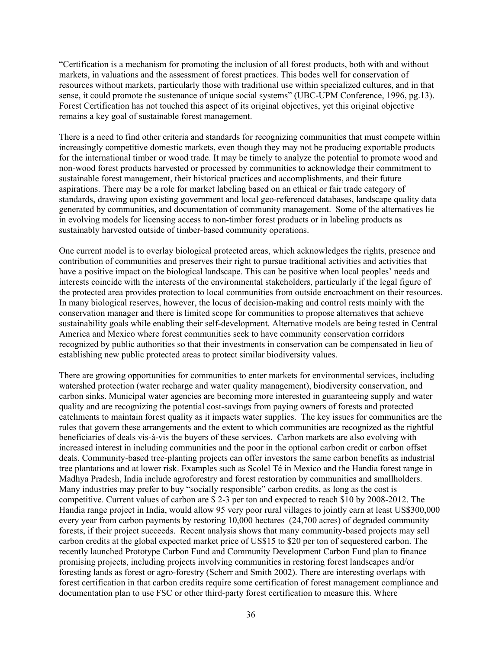"Certification is a mechanism for promoting the inclusion of all forest products, both with and without markets, in valuations and the assessment of forest practices. This bodes well for conservation of resources without markets, particularly those with traditional use within specialized cultures, and in that sense, it could promote the sustenance of unique social systems" (UBC-UPM Conference, 1996, pg.13). Forest Certification has not touched this aspect of its original objectives, yet this original objective remains a key goal of sustainable forest management.

There is a need to find other criteria and standards for recognizing communities that must compete within increasingly competitive domestic markets, even though they may not be producing exportable products for the international timber or wood trade. It may be timely to analyze the potential to promote wood and non-wood forest products harvested or processed by communities to acknowledge their commitment to sustainable forest management, their historical practices and accomplishments, and their future aspirations. There may be a role for market labeling based on an ethical or fair trade category of standards, drawing upon existing government and local geo-referenced databases, landscape quality data generated by communities, and documentation of community management. Some of the alternatives lie in evolving models for licensing access to non-timber forest products or in labeling products as sustainably harvested outside of timber-based community operations.

One current model is to overlay biological protected areas, which acknowledges the rights, presence and contribution of communities and preserves their right to pursue traditional activities and activities that have a positive impact on the biological landscape. This can be positive when local peoples' needs and interests coincide with the interests of the environmental stakeholders, particularly if the legal figure of the protected area provides protection to local communities from outside encroachment on their resources. In many biological reserves, however, the locus of decision-making and control rests mainly with the conservation manager and there is limited scope for communities to propose alternatives that achieve sustainability goals while enabling their self-development. Alternative models are being tested in Central America and Mexico where forest communities seek to have community conservation corridors recognized by public authorities so that their investments in conservation can be compensated in lieu of establishing new public protected areas to protect similar biodiversity values.

There are growing opportunities for communities to enter markets for environmental services, including watershed protection (water recharge and water quality management), biodiversity conservation, and carbon sinks. Municipal water agencies are becoming more interested in guaranteeing supply and water quality and are recognizing the potential cost-savings from paying owners of forests and protected catchments to maintain forest quality as it impacts water supplies. The key issues for communities are the rules that govern these arrangements and the extent to which communities are recognized as the rightful beneficiaries of deals vis-à-vis the buyers of these services. Carbon markets are also evolving with increased interest in including communities and the poor in the optional carbon credit or carbon offset deals. Community-based tree-planting projects can offer investors the same carbon benefits as industrial tree plantations and at lower risk. Examples such as Scolel Té in Mexico and the Handia forest range in Madhya Pradesh, India include agroforestry and forest restoration by communities and smallholders. Many industries may prefer to buy "socially responsible" carbon credits, as long as the cost is competitive. Current values of carbon are \$ 2-3 per ton and expected to reach \$10 by 2008-2012. The Handia range project in India, would allow 95 very poor rural villages to jointly earn at least US\$300,000 every year from carbon payments by restoring 10,000 hectares (24,700 acres) of degraded community forests, if their project succeeds. Recent analysis shows that many community-based projects may sell carbon credits at the global expected market price of US\$15 to \$20 per ton of sequestered carbon. The recently launched Prototype Carbon Fund and Community Development Carbon Fund plan to finance promising projects, including projects involving communities in restoring forest landscapes and/or foresting lands as forest or agro-forestry (Scherr and Smith 2002). There are interesting overlaps with forest certification in that carbon credits require some certification of forest management compliance and documentation plan to use FSC or other third-party forest certification to measure this. Where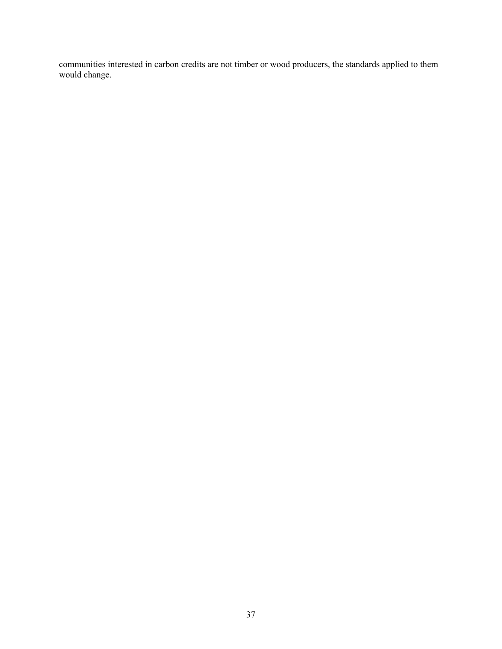communities interested in carbon credits are not timber or wood producers, the standards applied to them would change.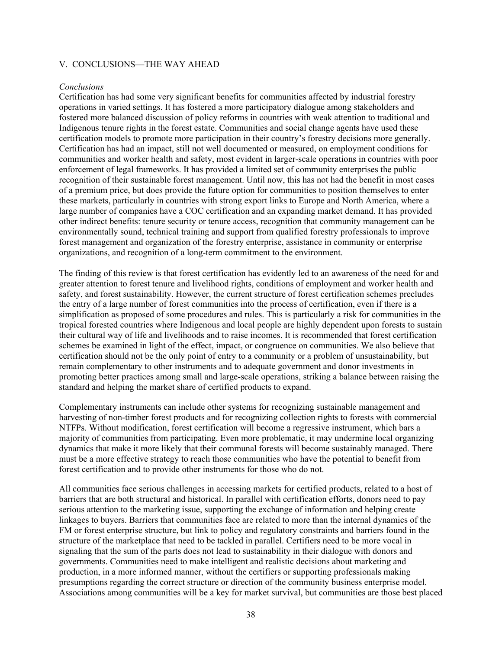#### <span id="page-44-0"></span>V. CONCLUSIONS—THE WAY AHEAD

#### *Conclusions*

Certification has had some very significant benefits for communities affected by industrial forestry operations in varied settings. It has fostered a more participatory dialogue among stakeholders and fostered more balanced discussion of policy reforms in countries with weak attention to traditional and Indigenous tenure rights in the forest estate. Communities and social change agents have used these certification models to promote more participation in their country's forestry decisions more generally. Certification has had an impact, still not well documented or measured, on employment conditions for communities and worker health and safety, most evident in larger-scale operations in countries with poor enforcement of legal frameworks. It has provided a limited set of community enterprises the public recognition of their sustainable forest management. Until now, this has not had the benefit in most cases of a premium price, but does provide the future option for communities to position themselves to enter these markets, particularly in countries with strong export links to Europe and North America, where a large number of companies have a COC certification and an expanding market demand. It has provided other indirect benefits: tenure security or tenure access, recognition that community management can be environmentally sound, technical training and support from qualified forestry professionals to improve forest management and organization of the forestry enterprise, assistance in community or enterprise organizations, and recognition of a long-term commitment to the environment.

The finding of this review is that forest certification has evidently led to an awareness of the need for and greater attention to forest tenure and livelihood rights, conditions of employment and worker health and safety, and forest sustainability. However, the current structure of forest certification schemes precludes the entry of a large number of forest communities into the process of certification, even if there is a simplification as proposed of some procedures and rules. This is particularly a risk for communities in the tropical forested countries where Indigenous and local people are highly dependent upon forests to sustain their cultural way of life and livelihoods and to raise incomes. It is recommended that forest certification schemes be examined in light of the effect, impact, or congruence on communities. We also believe that certification should not be the only point of entry to a community or a problem of unsustainability, but remain complementary to other instruments and to adequate government and donor investments in promoting better practices among small and large-scale operations, striking a balance between raising the standard and helping the market share of certified products to expand.

Complementary instruments can include other systems for recognizing sustainable management and harvesting of non-timber forest products and for recognizing collection rights to forests with commercial NTFPs. Without modification, forest certification will become a regressive instrument, which bars a majority of communities from participating. Even more problematic, it may undermine local organizing dynamics that make it more likely that their communal forests will become sustainably managed. There must be a more effective strategy to reach those communities who have the potential to benefit from forest certification and to provide other instruments for those who do not.

All communities face serious challenges in accessing markets for certified products, related to a host of barriers that are both structural and historical. In parallel with certification efforts, donors need to pay serious attention to the marketing issue, supporting the exchange of information and helping create linkages to buyers. Barriers that communities face are related to more than the internal dynamics of the FM or forest enterprise structure, but link to policy and regulatory constraints and barriers found in the structure of the marketplace that need to be tackled in parallel. Certifiers need to be more vocal in signaling that the sum of the parts does not lead to sustainability in their dialogue with donors and governments. Communities need to make intelligent and realistic decisions about marketing and production, in a more informed manner, without the certifiers or supporting professionals making presumptions regarding the correct structure or direction of the community business enterprise model. Associations among communities will be a key for market survival, but communities are those best placed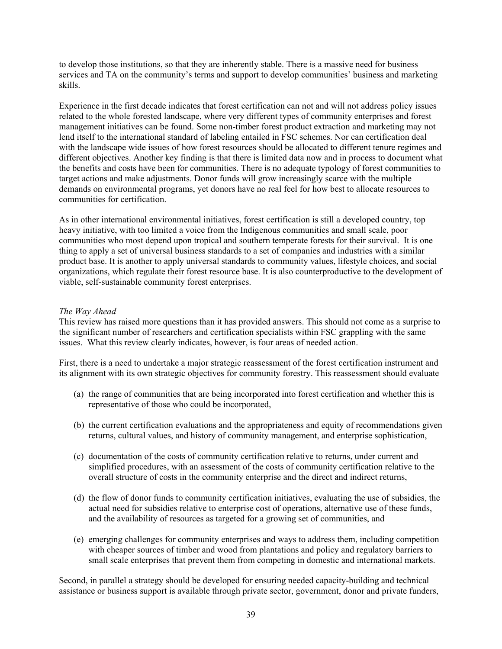<span id="page-45-0"></span>to develop those institutions, so that they are inherently stable. There is a massive need for business services and TA on the community's terms and support to develop communities' business and marketing skills.

Experience in the first decade indicates that forest certification can not and will not address policy issues related to the whole forested landscape, where very different types of community enterprises and forest management initiatives can be found. Some non-timber forest product extraction and marketing may not lend itself to the international standard of labeling entailed in FSC schemes. Nor can certification deal with the landscape wide issues of how forest resources should be allocated to different tenure regimes and different objectives. Another key finding is that there is limited data now and in process to document what the benefits and costs have been for communities. There is no adequate typology of forest communities to target actions and make adjustments. Donor funds will grow increasingly scarce with the multiple demands on environmental programs, yet donors have no real feel for how best to allocate resources to communities for certification.

As in other international environmental initiatives, forest certification is still a developed country, top heavy initiative, with too limited a voice from the Indigenous communities and small scale, poor communities who most depend upon tropical and southern temperate forests for their survival. It is one thing to apply a set of universal business standards to a set of companies and industries with a similar product base. It is another to apply universal standards to community values, lifestyle choices, and social organizations, which regulate their forest resource base. It is also counterproductive to the development of viable, self-sustainable community forest enterprises.

# *The Way Ahead*

This review has raised more questions than it has provided answers. This should not come as a surprise to the significant number of researchers and certification specialists within FSC grappling with the same issues. What this review clearly indicates, however, is four areas of needed action.

First, there is a need to undertake a major strategic reassessment of the forest certification instrument and its alignment with its own strategic objectives for community forestry. This reassessment should evaluate

- (a) the range of communities that are being incorporated into forest certification and whether this is representative of those who could be incorporated,
- (b) the current certification evaluations and the appropriateness and equity of recommendations given returns, cultural values, and history of community management, and enterprise sophistication,
- (c) documentation of the costs of community certification relative to returns, under current and simplified procedures, with an assessment of the costs of community certification relative to the overall structure of costs in the community enterprise and the direct and indirect returns,
- (d) the flow of donor funds to community certification initiatives, evaluating the use of subsidies, the actual need for subsidies relative to enterprise cost of operations, alternative use of these funds, and the availability of resources as targeted for a growing set of communities, and
- (e) emerging challenges for community enterprises and ways to address them, including competition with cheaper sources of timber and wood from plantations and policy and regulatory barriers to small scale enterprises that prevent them from competing in domestic and international markets.

Second, in parallel a strategy should be developed for ensuring needed capacity-building and technical assistance or business support is available through private sector, government, donor and private funders,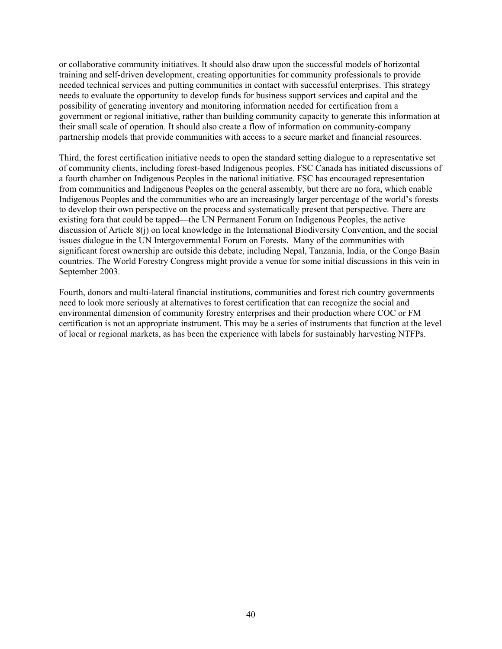or collaborative community initiatives. It should also draw upon the successful models of horizontal training and self-driven development, creating opportunities for community professionals to provide needed technical services and putting communities in contact with successful enterprises. This strategy needs to evaluate the opportunity to develop funds for business support services and capital and the possibility of generating inventory and monitoring information needed for certification from a government or regional initiative, rather than building community capacity to generate this information at their small scale of operation. It should also create a flow of information on community-company partnership models that provide communities with access to a secure market and financial resources.

Third, the forest certification initiative needs to open the standard setting dialogue to a representative set of community clients, including forest-based Indigenous peoples. FSC Canada has initiated discussions of a fourth chamber on Indigenous Peoples in the national initiative. FSC has encouraged representation from communities and Indigenous Peoples on the general assembly, but there are no fora, which enable Indigenous Peoples and the communities who are an increasingly larger percentage of the world's forests to develop their own perspective on the process and systematically present that perspective. There are existing fora that could be tapped—the UN Permanent Forum on Indigenous Peoples, the active discussion of Article 8(j) on local knowledge in the International Biodiversity Convention, and the social issues dialogue in the UN Intergovernmental Forum on Forests. Many of the communities with significant forest ownership are outside this debate, including Nepal, Tanzania, India, or the Congo Basin countries. The World Forestry Congress might provide a venue for some initial discussions in this vein in September 2003.

Fourth, donors and multi-lateral financial institutions, communities and forest rich country governments need to look more seriously at alternatives to forest certification that can recognize the social and environmental dimension of community forestry enterprises and their production where COC or FM certification is not an appropriate instrument. This may be a series of instruments that function at the level of local or regional markets, as has been the experience with labels for sustainably harvesting NTFPs.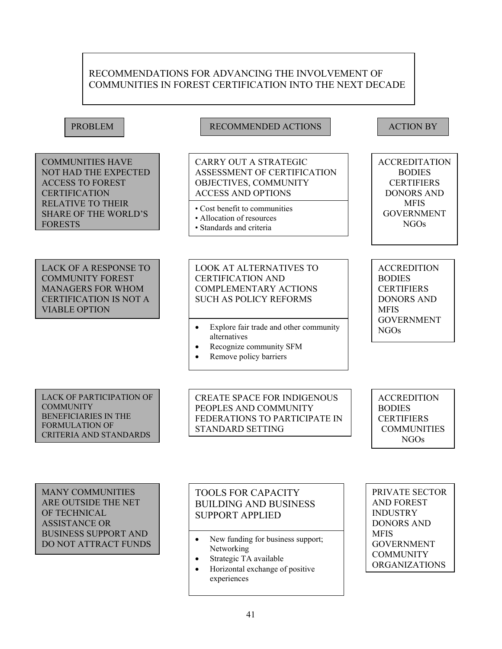# RECOMMENDATIONS FOR ADVANCING THE INVOLVEMENT OF COMMUNITIES IN FOREST CERTIFICATION INTO THE NEXT DECADE

COMMUNITIES HAVE NOT HAD THE EXPECT ED ACCESS TO FOREST **CERTIFICATION** RELATIVE TO THEIR SHARE OF THE WORLD'S FORESTS

LACK OF A RESPONSE TO COMMUNITY FOREST MANAGERS FOR WHOM CERTIFICATION IS NOT A VIABLE OPTION

# PROBLEM RECOMMENDED ACTIONS ACTION BY

CARRY OUT A STRATEGIC ASSESSMENT OF CERTIFICATION OBJECTIVES, COMMUNITY ACCESS AND OPTIONS

- Cost benefit to communities
- Allocation of resources
- Standards and criteria

# LOOK AT ALTERNATIVES TO CERTIFICATION AND COMPLEMENTARY ACTIONS SUCH AS POLICY REFORMS

- Explore fair trade and other community alternatives
- Recognize community SFM
- Remove policy barriers

**ACCREDITATION** BODIES **CERTIFIERS** DONORS AND MFIS GOVERNMENT NGOs

**ACCREDITION** BODIES **CERTIFIERS** DONORS AND **MFIS** GOVERNMENT NGOs

#### LACK OF PARTICIPATION OF **COMMUNITY** BENEFICIARIES IN THE FORMULATION OF CRITERIA AND STANDARDS

CREATE SPACE FOR INDIGENOUS PEOPLES AND COMMUNITY FEDERATIONS TO PARTICIPATE IN STANDARD SETTING

**ACCREDITION** BODIES **CERTIFIERS** COMMUNITIES NGOs

MANY COMMUNITIES ARE OUTSIDE THE NET OF TECHNICAL ASSISTANCE OR BUSINESS SUPPORT AND DO NOT ATTRACT FUNDS

# TOOLS FOR CAPACITY BUILDING AND BUSINESS SUPPORT APPLIED

- New funding for business support; Networking
- Strategic TA available

 $\overline{a}$ 

• Horizontal exchange of positive experiences

PRIVATE SECTOR AND FOREST INDUSTRY DONORS AND **MFIS** GOVERNMENT **COMMUNITY** ORGANIZATIONS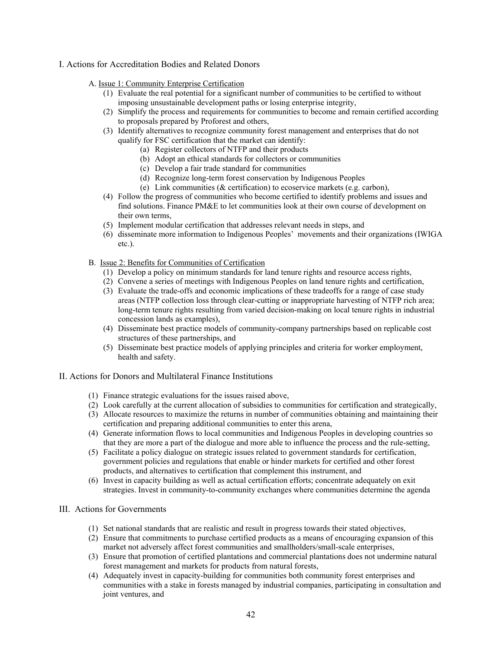#### I. Actions for Accreditation Bodies and Related Donors

- A. Issue 1: Community Enterprise Certification
	- (1) Evaluate the real potential for a significant number of communities to be certified to without imposing unsustainable development paths or losing enterprise integrity,
	- (2) Simplify the process and requirements for communities to become and remain certified according to proposals prepared by Proforest and others,
	- (3) Identify alternatives to recognize community forest management and enterprises that do not qualify for FSC certification that the market can identify:
		- (a) Register collectors of NTFP and their products
		- (b) Adopt an ethical standards for collectors or communities
		- (c) Develop a fair trade standard for communities
		- (d) Recognize long-term forest conservation by Indigenous Peoples
		- (e) Link communities (& certification) to ecoservice markets (e.g. carbon),
	- (4) Follow the progress of communities who become certified to identify problems and issues and find solutions. Finance PM&E to let communities look at their own course of development on their own terms,
	- (5) Implement modular certification that addresses relevant needs in steps, and
	- (6) disseminate more information to Indigenous Peoples' movements and their organizations (IWIGA etc.).
- B. Issue 2: Benefits for Communities of Certification
	- (1) Develop a policy on minimum standards for land tenure rights and resource access rights,
	- (2) Convene a series of meetings with Indigenous Peoples on land tenure rights and certification,
	- (3) Evaluate the trade-offs and economic implications of these tradeoffs for a range of case study areas (NTFP collection loss through clear-cutting or inappropriate harvesting of NTFP rich area; long-term tenure rights resulting from varied decision-making on local tenure rights in industrial concession lands as examples),
	- (4) Disseminate best practice models of community-company partnerships based on replicable cost structures of these partnerships, and
	- (5) Disseminate best practice models of applying principles and criteria for worker employment, health and safety.
- II. Actions for Donors and Multilateral Finance Institutions
	- (1) Finance strategic evaluations for the issues raised above,
	- (2) Look carefully at the current allocation of subsidies to communities for certification and strategically,
	- (3) Allocate resources to maximize the returns in number of communities obtaining and maintaining their certification and preparing additional communities to enter this arena,
	- (4) Generate information flows to local communities and Indigenous Peoples in developing countries so that they are more a part of the dialogue and more able to influence the process and the rule-setting,
	- (5) Facilitate a policy dialogue on strategic issues related to government standards for certification, government policies and regulations that enable or hinder markets for certified and other forest products, and alternatives to certification that complement this instrument, and
	- (6) Invest in capacity building as well as actual certification efforts; concentrate adequately on exit strategies. Invest in community-to-community exchanges where communities determine the agenda

#### III. Actions for Governments

- (1) Set national standards that are realistic and result in progress towards their stated objectives,
- (2) Ensure that commitments to purchase certified products as a means of encouraging expansion of this market not adversely affect forest communities and smallholders/small-scale enterprises,
- (3) Ensure that promotion of certified plantations and commercial plantations does not undermine natural forest management and markets for products from natural forests,
- (4) Adequately invest in capacity-building for communities both community forest enterprises and communities with a stake in forests managed by industrial companies, participating in consultation and joint ventures, and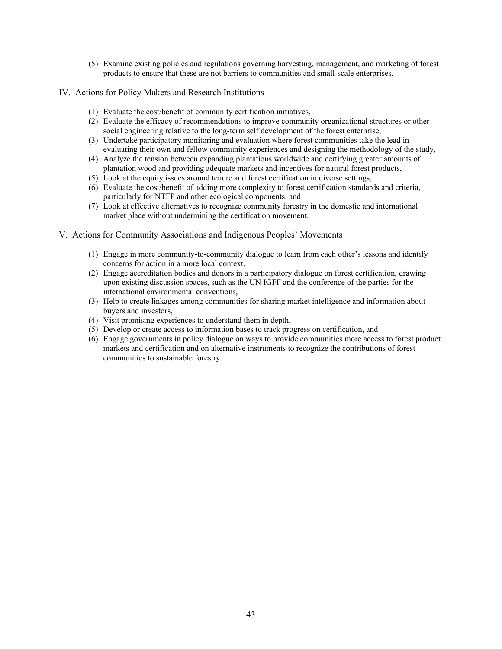- (5) Examine existing policies and regulations governing harvesting, management, and marketing of forest products to ensure that these are not barriers to communities and small-scale enterprises.
- IV. Actions for Policy Makers and Research Institutions
	- (1) Evaluate the cost/benefit of community certification initiatives,
	- (2) Evaluate the efficacy of recommendations to improve community organizational structures or other social engineering relative to the long-term self development of the forest enterprise,
	- (3) Undertake participatory monitoring and evaluation where forest communities take the lead in evaluating their own and fellow community experiences and designing the methodology of the study,
	- (4) Analyze the tension between expanding plantations worldwide and certifying greater amounts of plantation wood and providing adequate markets and incentives for natural forest products,
	- (5) Look at the equity issues around tenure and forest certification in diverse settings,
	- (6) Evaluate the cost/benefit of adding more complexity to forest certification standards and criteria, particularly for NTFP and other ecological components, and
	- (7) Look at effective alternatives to recognize community forestry in the domestic and international market place without undermining the certification movement.
- V. Actions for Community Associations and Indigenous Peoples' Movements
	- (1) Engage in more community-to-community dialogue to learn from each other's lessons and identify concerns for action in a more local context,
	- (2) Engage accreditation bodies and donors in a participatory dialogue on forest certification, drawing upon existing discussion spaces, such as the UN IGFF and the conference of the parties for the international environmental conventions,
	- (3) Help to create linkages among communities for sharing market intelligence and information about buyers and investors,
	- (4) Visit promising experiences to understand them in depth,
	- (5) Develop or create access to information bases to track progress on certification, and
	- (6) Engage governments in policy dialogue on ways to provide communities more access to forest product markets and certification and on alternative instruments to recognize the contributions of forest communities to sustainable forestry.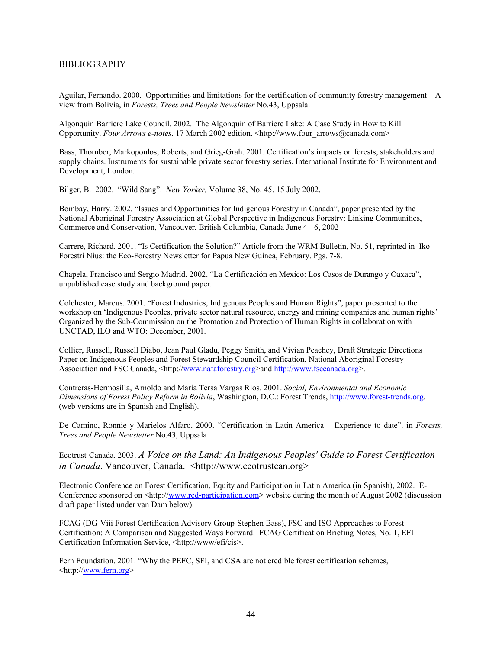#### <span id="page-50-0"></span>BIBLIOGRAPHY

Aguilar, Fernando. 2000. Opportunities and limitations for the certification of community forestry management – A view from Bolivia, in *Forests, Trees and People Newsletter* No.43, Uppsala.

Algonquin Barriere Lake Council. 2002. The Algonquin of Barriere Lake: A Case Study in How to Kill Opportunity. *Four Arrows e-notes*. 17 March 2002 edition. <http://www.four\_arrows@canada.com>

Bass, Thornber, Markopoulos, Roberts, and Grieg-Grah. 2001. Certification's impacts on forests, stakeholders and supply chains. Instruments for sustainable private sector forestry series. International Institute for Environment and Development, London.

Bilger, B. 2002. "Wild Sang". *New Yorker,* Volume 38, No. 45. 15 July 2002.

Bombay, Harry. 2002. "Issues and Opportunities for Indigenous Forestry in Canada", paper presented by the National Aboriginal Forestry Association at Global Perspective in Indigenous Forestry: Linking Communities, Commerce and Conservation, Vancouver, British Columbia, Canada June 4 - 6, 2002

Carrere, Richard. 2001. "Is Certification the Solution?" Article from the WRM Bulletin, No. 51, reprinted in Iko-Forestri Nius: the Eco-Forestry Newsletter for Papua New Guinea, February. Pgs. 7-8.

Chapela, Francisco and Sergio Madrid. 2002. "La Certificación en Mexico: Los Casos de Durango y Oaxaca", unpublished case study and background paper.

Colchester, Marcus. 2001. "Forest Industries, Indigenous Peoples and Human Rights", paper presented to the workshop on 'Indigenous Peoples, private sector natural resource, energy and mining companies and human rights' Organized by the Sub-Commission on the Promotion and Protection of Human Rights in collaboration with UNCTAD, ILO and WTO: December, 2001.

Collier, Russell, Russell Diabo, Jean Paul Gladu, Peggy Smith, and Vivian Peachey, Draft Strategic Directions Paper on Indigenous Peoples and Forest Stewardship Council Certification, National Aboriginal Forestry Association and FSC Canada, <http://[www.nafaforestry.org>](http://www.nafaforestry.org/)and [http://www.fsccanada.org>](http://www.fsccanada.org/).

Contreras-Hermosilla, Arnoldo and Maria Tersa Vargas Rios. 2001. *Social, Environmental and Economic Dimensions of Forest Policy Reform in Bolivia*, Washington, D.C.: Forest Trends, [http://www.forest-trends.org.](http://www.forest-trends.org/) (web versions are in Spanish and English).

De Camino, Ronnie y Marielos Alfaro. 2000. "Certification in Latin America – Experience to date". in *Forests, Trees and People Newsletter* No.43, Uppsala

Ecotrust-Canada. 2003. *A Voice on the Land: An Indigenous Peoples' Guide to Forest Certification in Canada*. Vancouver, Canada. <http://www.ecotrustcan.org>

Electronic Conference on Forest Certification, Equity and Participation in Latin America (in Spanish), 2002. EConference sponsored on <http://[www.red-participation.com](http://www.red-participation.com/)> website during the month of August 2002 (discussion draft paper listed under van Dam below).

FCAG (DG-Viii Forest Certification Advisory Group-Stephen Bass), FSC and ISO Approaches to Forest Certification: A Comparison and Suggested Ways Forward. FCAG Certification Briefing Notes, No. 1, EFI Certification Information Service, <http://www/efi/cis>.

Fern Foundation. 2001. "Why the PEFC, SFI, and CSA are not credible forest certification schemes, <http://[www.fern.org>](http://www.fern.org/)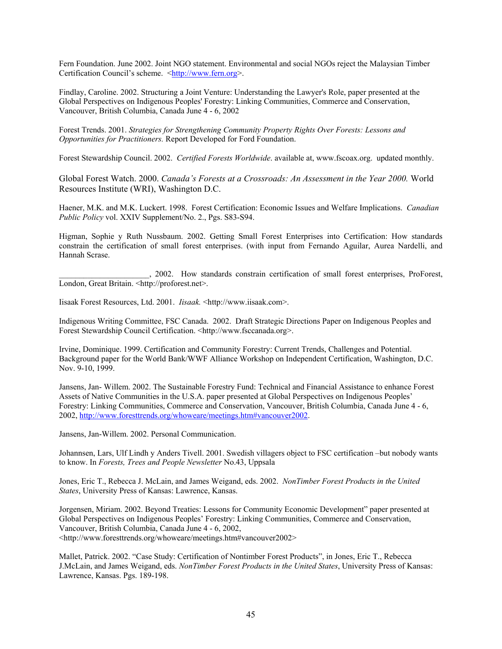Fern Foundation. June 2002. Joint NGO statement. Environmental and social NGOs reject the Malaysian Timber Certification Council's scheme. <[http://www.fern.org>](http://www.fern.org/).

Findlay, Caroline. 2002. Structuring a Joint Venture: Understanding the Lawyer's Role, paper presented at the Global Perspectives on Indigenous Peoples' Forestry: Linking Communities, Commerce and Conservation, Vancouver, British Columbia, Canada June 4 - 6, 2002

Forest Trends. 2001. *Strategies for Strengthening Community Property Rights Over Forests: Lessons and Opportunities for Practitioners.* Report Developed for Ford Foundation.

Forest Stewardship Council. 2002. *Certified Forests Worldwide*. available at, www.fscoax.org. updated monthly.

Global Forest Watch. 2000. *Canada's Forests at a Crossroads: An Assessment in the Year 2000.* World Resources Institute (WRI), Washington D.C.

Haener, M.K. and M.K. Luckert. 1998. Forest Certification: Economic Issues and Welfare Implications. *Canadian Public Policy* vol. XXIV Supplement/No. 2., Pgs. S83-S94.

Higman, Sophie y Ruth Nussbaum. 2002. Getting Small Forest Enterprises into Certification: How standards constrain the certification of small forest enterprises. (with input from Fernando Aguilar, Aurea Nardelli, and Hannah Scrase.

\_\_\_\_\_\_\_\_\_\_\_\_\_\_\_\_\_\_\_\_\_\_, 2002. How standards constrain certification of small forest enterprises, ProForest, London, Great Britain. <http://proforest.net>.

Iisaak Forest Resources, Ltd. 2001. *Iisaak.* <http://www.iisaak.com>.

Indigenous Writing Committee, FSC Canada. 2002. Draft Strategic Directions Paper on Indigenous Peoples and Forest Stewardship Council Certification. <http://www.fsccanada.org>.

Irvine, Dominique. 1999. Certification and Community Forestry: Current Trends, Challenges and Potential. Background paper for the World Bank/WWF Alliance Workshop on Independent Certification, Washington, D.C. Nov. 9-10, 1999.

Jansens, Jan- Willem. 2002. The Sustainable Forestry Fund: Technical and Financial Assistance to enhance Forest Assets of Native Communities in the U.S.A. paper presented at Global Perspectives on Indigenous Peoples' Forestry: Linking Communities, Commerce and Conservation, Vancouver, British Columbia, Canada June 4 - 6, 2002, [http://www.foresttrends.org/whoweare/meetings.htm#vancouver2002.](http://www.foresttrends.org/whoweare/meetings.htm)

Jansens, Jan-Willem. 2002. Personal Communication.

Johannsen, Lars, Ulf Lindh y Anders Tivell. 2001. Swedish villagers object to FSC certification –but nobody wants to know. In *Forests, Trees and People Newsletter* No.43, Uppsala

Jones, Eric T., Rebecca J. McLain, and James Weigand, eds. 2002. *NonTimber Forest Products in the United States*, University Press of Kansas: Lawrence, Kansas.

Jorgensen, Miriam. 2002. Beyond Treaties: Lessons for Community Economic Development" paper presented at Global Perspectives on Indigenous Peoples' Forestry: Linking Communities, Commerce and Conservation, Vancouver, British Columbia, Canada June 4 - 6, 2002, <http://www.foresttrends.org/whoweare/meetings.htm#vancouver2002>

Mallet, Patrick. 2002. "Case Study: Certification of Nontimber Forest Products", in Jones, Eric T., Rebecca J.McLain, and James Weigand, eds. *NonTimber Forest Products in the United States*, University Press of Kansas: Lawrence, Kansas. Pgs. 189-198.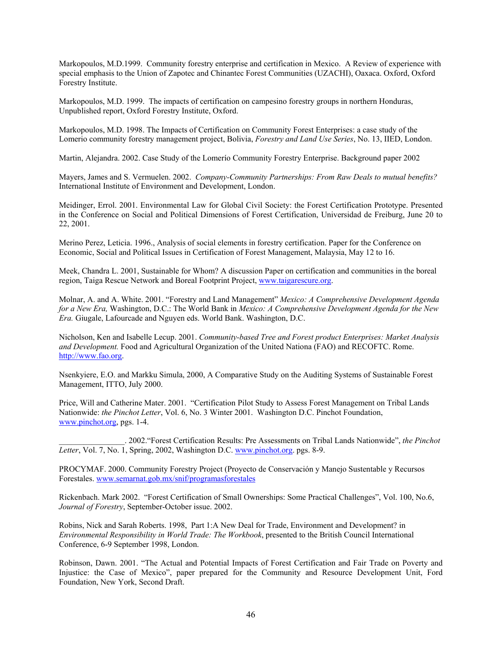Markopoulos, M.D.1999. Community forestry enterprise and certification in Mexico. A Review of experience with special emphasis to the Union of Zapotec and Chinantec Forest Communities (UZACHI), Oaxaca. Oxford, Oxford Forestry Institute.

Markopoulos, M.D. 1999. The impacts of certification on campesino forestry groups in northern Honduras, Unpublished report, Oxford Forestry Institute, Oxford.

Markopoulos, M.D. 1998. The Impacts of Certification on Community Forest Enterprises: a case study of the Lomerio community forestry management project, Bolivia, *Forestry and Land Use Series*, No. 13, IIED, London.

Martin, Alejandra. 2002. Case Study of the Lomerío Community Forestry Enterprise. Background paper 2002

Mayers, James and S. Vermuelen. 2002. *Company-Community Partnerships: From Raw Deals to mutual benefits?* International Institute of Environment and Development, London.

Meidinger, Errol. 2001. Environmental Law for Global Civil Society: the Forest Certification Prototype. Presented in the Conference on Social and Political Dimensions of Forest Certification, Universidad de Freiburg, June 20 to 22, 2001.

Merino Perez, Leticia. 1996., Analysis of social elements in forestry certification. Paper for the Conference on Economic, Social and Political Issues in Certification of Forest Management, Malaysia, May 12 to 16.

Meek, Chandra L. 2001, Sustainable for Whom? A discussion Paper on certification and communities in the boreal region, Taiga Rescue Network and Boreal Footprint Project, [www.taigarescure.org](http://www.taigarescure.org/).

Molnar, A. and A. White. 2001. "Forestry and Land Management" *Mexico: A Comprehensive Development Agenda for a New Era,* Washington, D.C.: The World Bank in *Mexico: A Comprehensive Development Agenda for the New Era.* Giugale, Lafourcade and Nguyen eds. World Bank. Washington, D.C.

Nicholson, Ken and Isabelle Lecup. 2001. *Community-based Tree and Forest product Enterprises: Market Analysis and Development.* Food and Agricultural Organization of the United Nationa (FAO) and RECOFTC. Rome. [http://www.fao.org.](http://www.fao.org/)

Nsenkyiere, E.O. and Markku Simula, 2000, A Comparative Study on the Auditing Systems of Sustainable Forest Management, ITTO, July 2000.

Price, Will and Catherine Mater. 2001. "Certification Pilot Study to Assess Forest Management on Tribal Lands Nationwide: *the Pinchot Letter*, Vol. 6, No. 3 Winter 2001. Washington D.C. Pinchot Foundation, [www.pinchot.org](http://www.pinchot.org/), pgs. 1-4.

\_\_\_\_\_\_\_\_\_\_\_\_\_\_\_\_. 2002."Forest Certification Results: Pre Assessments on Tribal Lands Nationwide", *the Pinchot Letter*, Vol. 7, No. 1, Spring, 2002, Washington D.C. [www.pinchot.org.](http://www.pinchot.org/) pgs. 8-9.

PROCYMAF. 2000. Community Forestry Project (Proyecto de Conservación y Manejo Sustentable y Recursos Forestales. [www.semarnat.gob.mx/snif/programasforestales](http://www.semarnat.gob.mx/snif/programasforestales)

Rickenbach. Mark 2002. "Forest Certification of Small Ownerships: Some Practical Challenges", Vol. 100, No.6, *Journal of Forestry*, September-October issue. 2002.

Robins, Nick and Sarah Roberts. 1998, Part 1:A New Deal for Trade, Environment and Development? in *Environmental Responsibility in World Trade: The Workbook*, presented to the British Council International Conference, 6-9 September 1998, London.

Robinson, Dawn. 2001. "The Actual and Potential Impacts of Forest Certification and Fair Trade on Poverty and Injustice: the Case of Mexico", paper prepared for the Community and Resource Development Unit, Ford Foundation, New York, Second Draft.